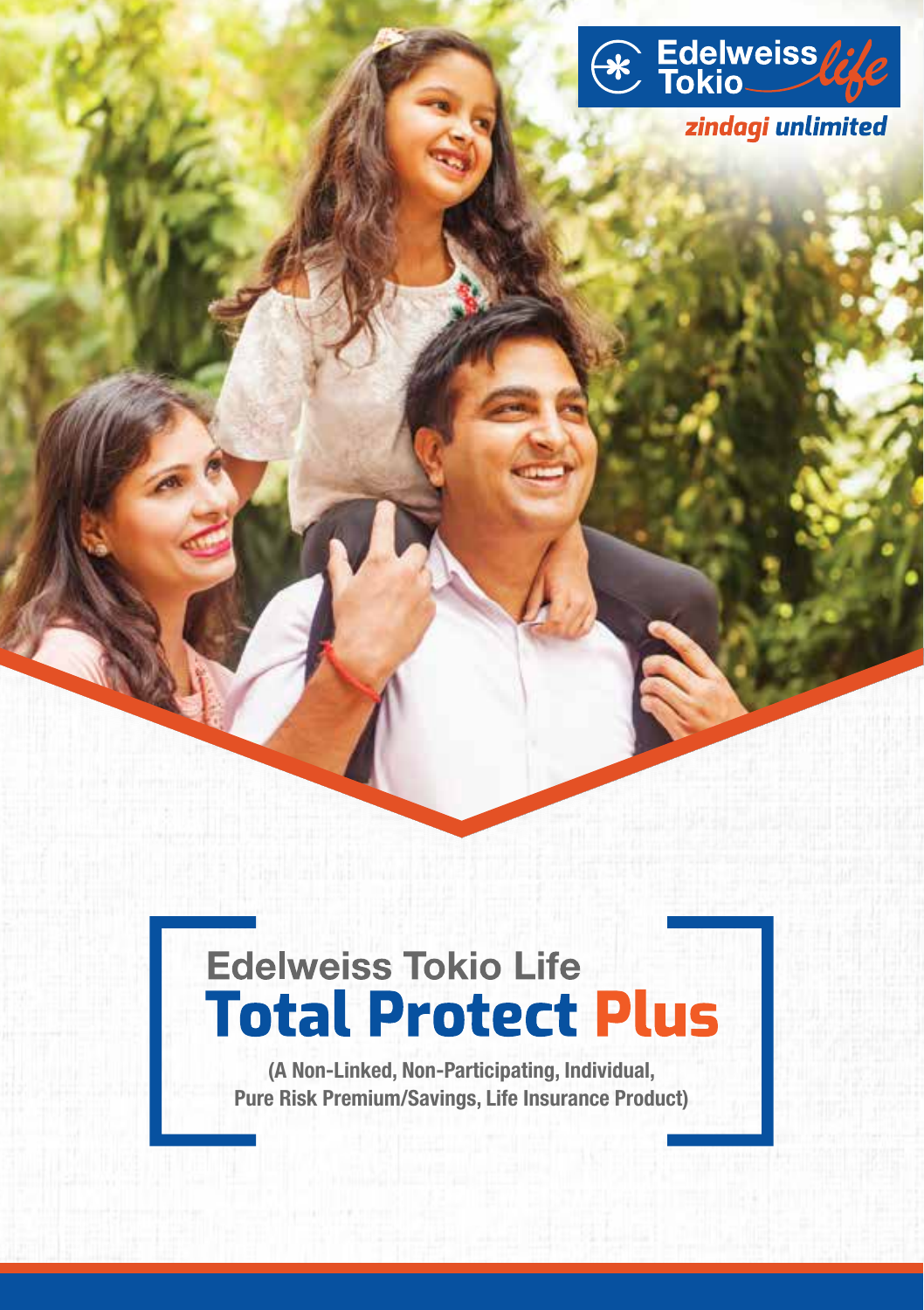

zindagi unlimited

# **Edelweiss Tokio Life Total Protect Plus**

(A Non-Linked, Non-Participating, Individual, Pure Risk Premium/Savings, Life Insurance Product)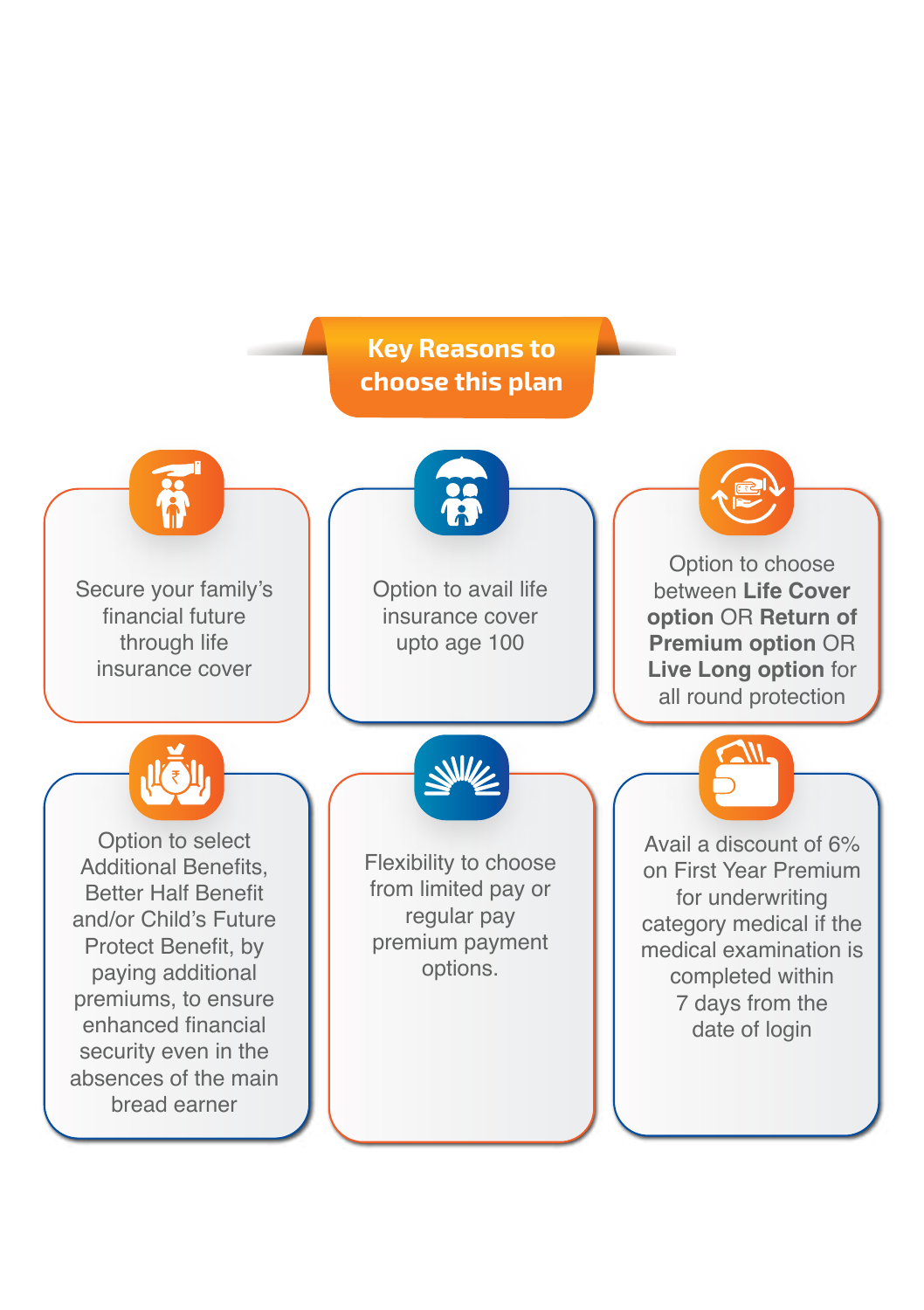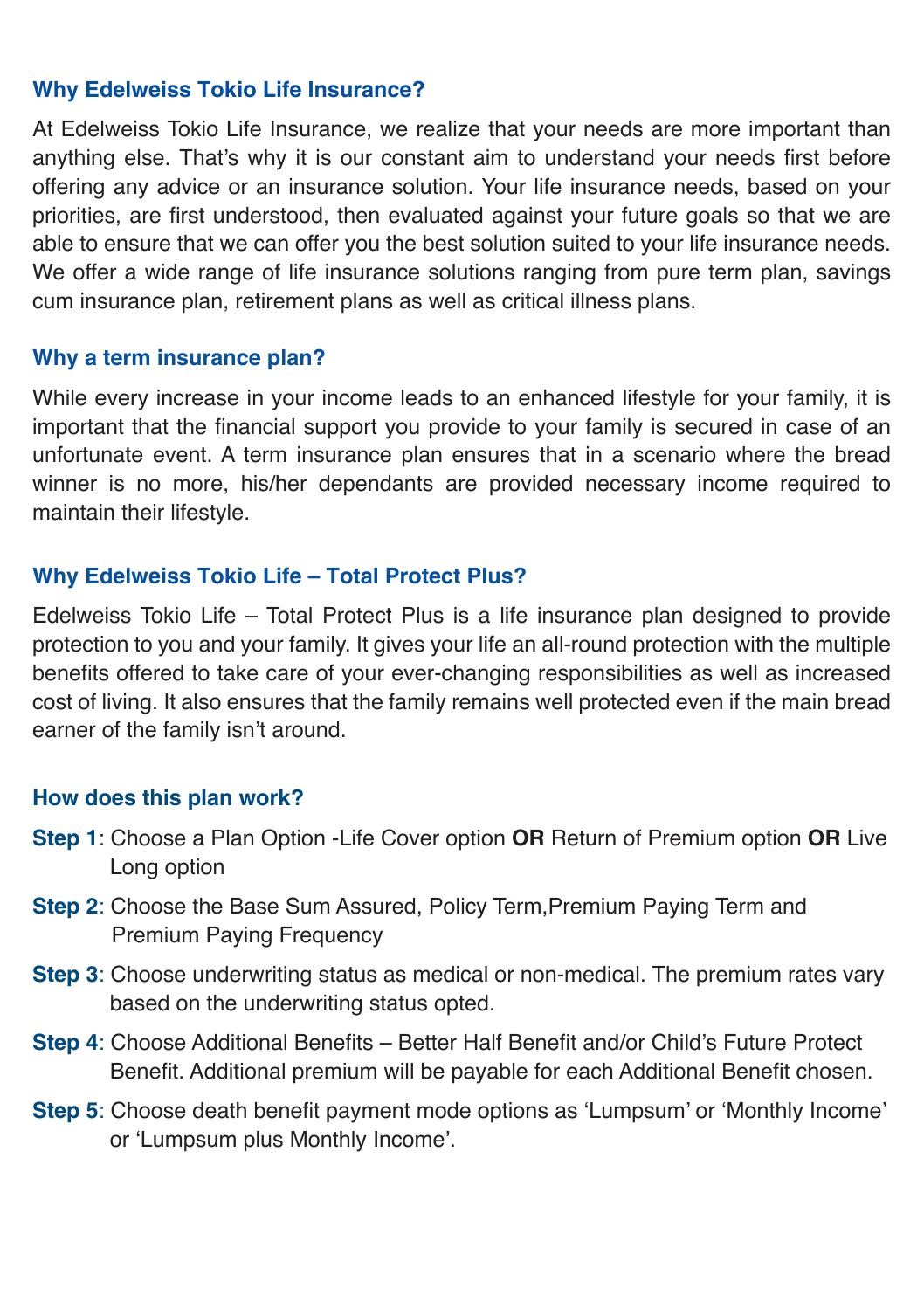#### **Why Edelweiss Tokio Life Insurance?**

At Edelweiss Tokio Life Insurance, we realize that your needs are more important than anything else. That's why it is our constant aim to understand your needs first before offering any advice or an insurance solution. Your life insurance needs, based on your priorities, are first understood, then evaluated against your future goals so that we are able to ensure that we can offer you the best solution suited to your life insurance needs. We offer a wide range of life insurance solutions ranging from pure term plan, savings cum insurance plan, retirement plans as well as critical illness plans.

#### **Why a term insurance plan?**

While every increase in your income leads to an enhanced lifestyle for your family, it is important that the financial support you provide to your family is secured in case of an unfortunate event. A term insurance plan ensures that in a scenario where the bread winner is no more, his/her dependants are provided necessary income required to maintain their lifestyle.

#### **Why Edelweiss Tokio Life – Total Protect Plus?**

Edelweiss Tokio Life – Total Protect Plus is a life insurance plan designed to provide protection to you and your family. It gives your life an all-round protection with the multiple benefits offered to take care of your ever-changing responsibilities as well as increased cost of living. It also ensures that the family remains well protected even if the main bread earner of the family isn't around.

#### **How does this plan work?**

- **Step 1**: Choose a Plan Option -Life Cover option **OR** Return of Premium option **OR** Live Long option
- **Step 2:** Choose the Base Sum Assured, Policy Term, Premium Paying Term and Premium Paying Frequency
- **Step 3**: Choose underwriting status as medical or non-medical. The premium rates vary based on the underwriting status opted.
- **Step 4**: Choose Additional Benefits Better Half Benefit and/or Child's Future Protect Benefit. Additional premium will be payable for each Additional Benefit chosen.
- **Step 5**: Choose death benefit payment mode options as 'Lumpsum' or 'Monthly Income' or 'Lumpsum plus Monthly Income'.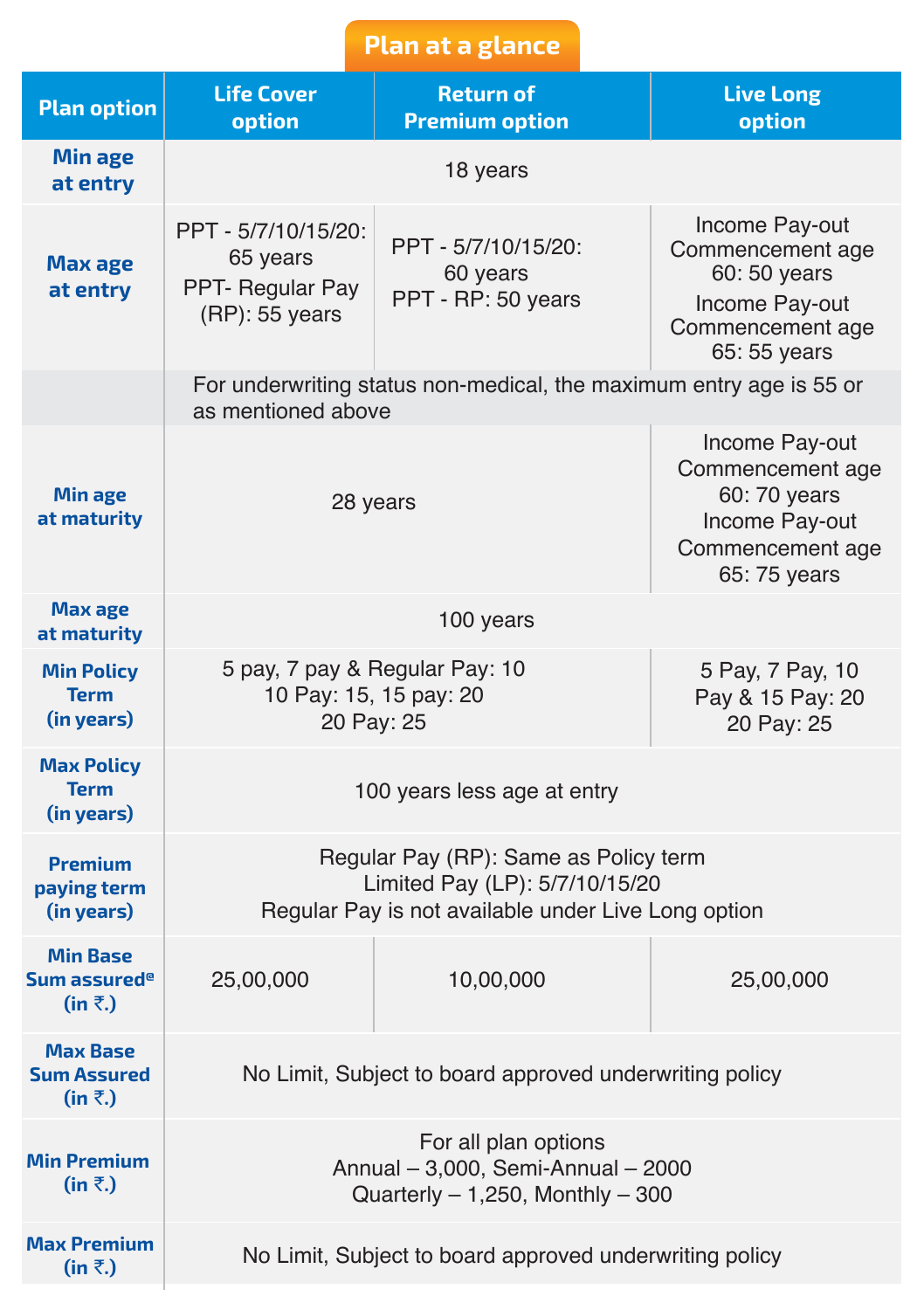# **Plan at a glance**

| <b>Plan option</b>                                            | <b>Life Cover</b><br>option                                                                       | <b>Return of</b><br><b>Premium option</b>                                                                                      | <b>Live Long</b><br>option |  |  |  |
|---------------------------------------------------------------|---------------------------------------------------------------------------------------------------|--------------------------------------------------------------------------------------------------------------------------------|----------------------------|--|--|--|
| Min age<br>at entry                                           | 18 years                                                                                          |                                                                                                                                |                            |  |  |  |
| Max age<br>at entry                                           | PPT - 5/7/10/15/20:<br>65 years<br>PPT- Regular Pay<br>$(RP)$ : 55 years                          | Income Pay-out<br>Commencement age<br>60:50 years<br>Income Pay-out<br>Commencement age<br>65: 55 years                        |                            |  |  |  |
|                                                               | as mentioned above                                                                                | For underwriting status non-medical, the maximum entry age is 55 or                                                            |                            |  |  |  |
| <b>Min age</b><br>at maturity                                 | 28 years                                                                                          | Income Pay-out<br>Commencement age<br>60:70 years<br>Income Pay-out<br>Commencement age<br>65:75 years                         |                            |  |  |  |
| <b>Max age</b><br>at maturity                                 | 100 years                                                                                         |                                                                                                                                |                            |  |  |  |
| <b>Min Policy</b><br><b>Term</b><br>(in years)                | 5 pay, 7 pay & Regular Pay: 10<br>10 Pay: 15, 15 pay: 20<br>20 Pay: 25                            | 5 Pay, 7 Pay, 10<br>Pay & 15 Pay: 20<br>20 Pay: 25                                                                             |                            |  |  |  |
| <b>Max Policy</b><br><b>Term</b><br>(in years)                |                                                                                                   | 100 years less age at entry                                                                                                    |                            |  |  |  |
| <b>Premium</b><br>paying term<br>(in years)                   |                                                                                                   | Regular Pay (RP): Same as Policy term<br>Limited Pay (LP): 5/7/10/15/20<br>Regular Pay is not available under Live Long option |                            |  |  |  |
| <b>Min Base</b><br>Sum assured <sup>®</sup><br>$(in \bar{z})$ | 25,00,000                                                                                         | 10,00,000                                                                                                                      | 25,00,000                  |  |  |  |
| <b>Max Base</b><br>Sum Assured<br>$(in \bar{z})$              | No Limit, Subject to board approved underwriting policy                                           |                                                                                                                                |                            |  |  |  |
| <b>Min Premium</b><br>$(in \bar{z})$                          | For all plan options<br>Annual - 3,000, Semi-Annual - 2000<br>Quarterly $-1,250$ , Monthly $-300$ |                                                                                                                                |                            |  |  |  |
| <b>Max Premium</b><br>$(in \bar{z})$                          | No Limit, Subject to board approved underwriting policy                                           |                                                                                                                                |                            |  |  |  |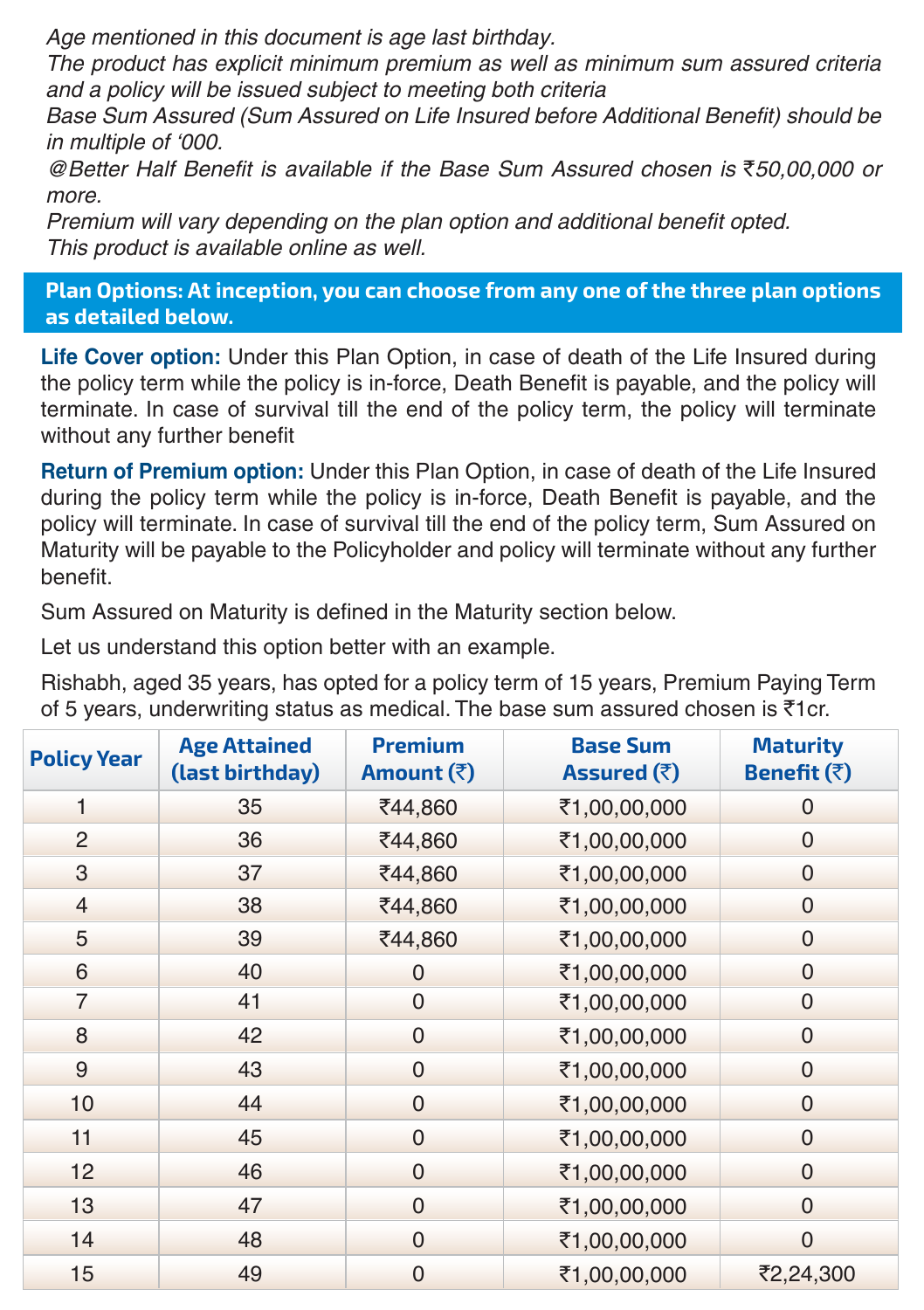Age mentioned in this document is age last birthday.

The product has explicit minimum premium as well as minimum sum assured criteria and a policy will be issued subject to meeting both criteria

Base Sum Assured (Sum Assured on Life Insured before Additional Benefit) should be in multiple of '000.

@Better Half Benefit is available if the Base Sum Assured chosen is `50,00,000 or more.

Premium will vary depending on the plan option and additional benefit opted. This product is available online as well.

**Plan Options: At inception, you can choose from any one of the three plan options as detailed below.**

**Life Cover option:** Under this Plan Option, in case of death of the Life Insured during the policy term while the policy is in-force, Death Benefit is payable, and the policy will terminate. In case of survival till the end of the policy term, the policy will terminate without any further benefit

**Return of Premium option:** Under this Plan Option, in case of death of the Life Insured during the policy term while the policy is in-force, Death Benefit is payable, and the policy will terminate. In case of survival till the end of the policy term, Sum Assured on Maturity will be payable to the Policyholder and policy will terminate without any further benefit.

Sum Assured on Maturity is defined in the Maturity section below.

Let us understand this option better with an example.

Rishabh, aged 35 years, has opted for a policy term of 15 years, Premium Paying Term of 5 years, underwriting status as medical. The base sum assured chosen is  $\bar{z}$ 1cr.

| <b>Policy Year</b> | <b>Age Attained</b><br>(last birthday) | <b>Premium</b><br>Amount (₹) | <b>Base Sum</b><br>Assured $(\bar{\bar{z}})$ | <b>Maturity</b><br>Benefit $(\bar{z})$ |
|--------------------|----------------------------------------|------------------------------|----------------------------------------------|----------------------------------------|
| 1                  | 35                                     | ₹44,860                      | ₹1,00,00,000                                 | $\Omega$                               |
| 2                  | 36                                     | ₹44,860                      | ₹1,00,00,000                                 | $\Omega$                               |
| 3                  | 37                                     | ₹44,860                      | ₹1,00,00,000                                 | $\Omega$                               |
| $\overline{4}$     | 38                                     | ₹44,860                      | ₹1,00,00,000                                 | $\overline{0}$                         |
| 5                  | 39                                     | ₹44,860                      | ₹1,00,00,000                                 | $\Omega$                               |
| 6                  | 40                                     | $\Omega$                     | ₹1,00,00,000                                 | $\Omega$                               |
| 7                  | 41                                     | $\Omega$                     | ₹1,00,00,000                                 | $\Omega$                               |
| 8                  | 42                                     | $\mathbf 0$                  | ₹1,00,00,000                                 | $\Omega$                               |
| $\overline{9}$     | 43                                     | $\overline{0}$               | ₹1,00,00,000                                 | $\mathbf 0$                            |
| 10                 | 44                                     | $\mathbf 0$                  | ₹1,00,00,000                                 | $\Omega$                               |
| 11                 | 45                                     | $\Omega$                     | ₹1,00,00,000                                 | $\Omega$                               |
| 12                 | 46                                     | $\overline{0}$               | ₹1,00,00,000                                 | $\Omega$                               |
| 13                 | 47                                     | $\Omega$                     | ₹1,00,00,000                                 | $\Omega$                               |
| 14                 | 48                                     | $\Omega$                     | ₹1,00,00,000                                 | $\Omega$                               |
| 15                 | 49                                     | $\Omega$                     | ₹1,00,00,000                                 | ₹2,24,300                              |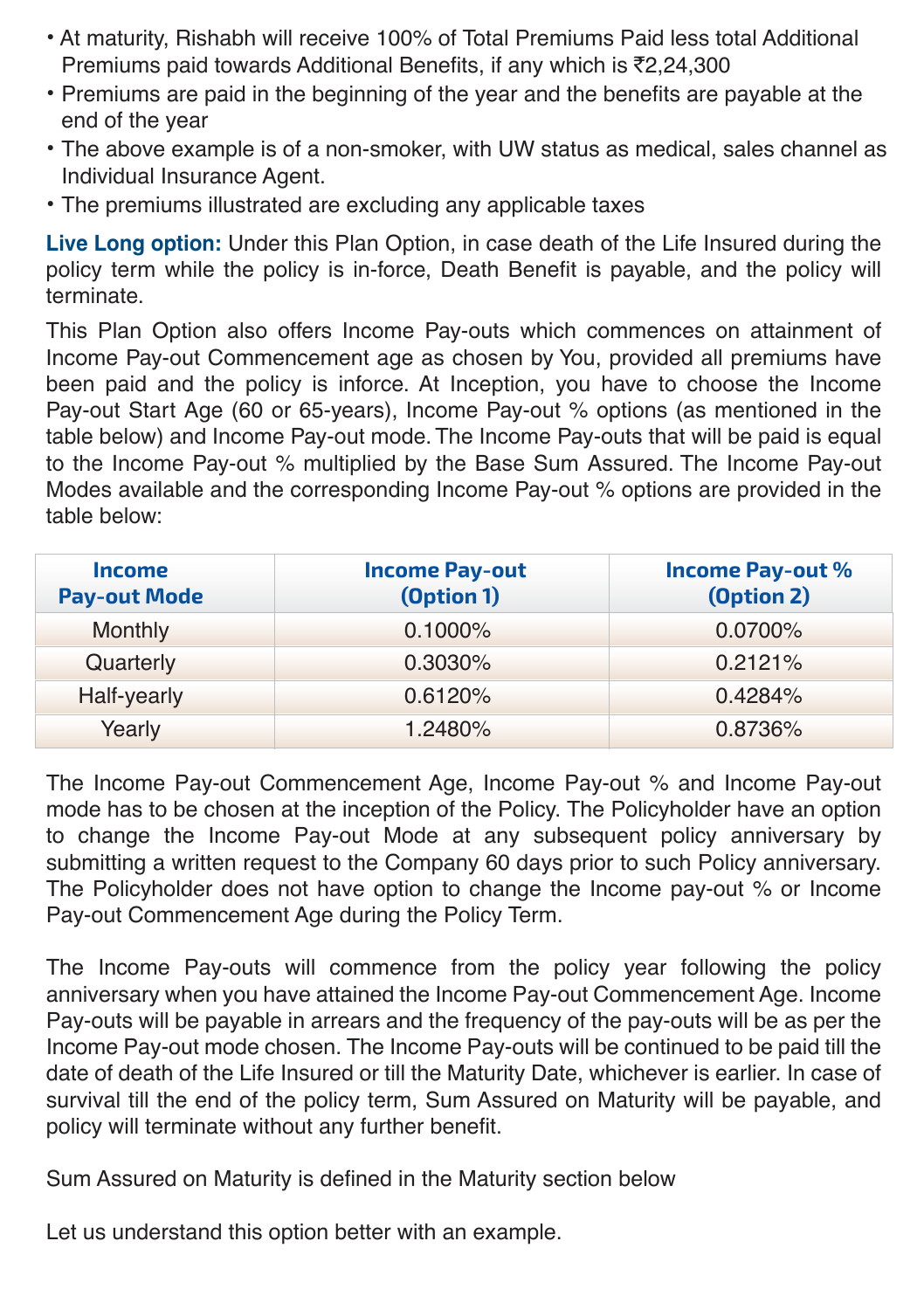- At maturity, Rishabh will receive 100% of Total Premiums Paid less total Additional Premiums paid towards Additional Benefits, if any which is  $\bar{\tau}$ 2,24,300
- Premiums are paid in the beginning of the year and the benefits are payable at the end of the year
- The above example is of a non-smoker, with UW status as medical, sales channel as Individual Insurance Agent.
- The premiums illustrated are excluding any applicable taxes

**Live Long option:** Under this Plan Option, in case death of the Life Insured during the policy term while the policy is in-force, Death Benefit is payable, and the policy will terminate.

This Plan Option also offers Income Pay-outs which commences on attainment of Income Pay-out Commencement age as chosen by You, provided all premiums have been paid and the policy is inforce. At Inception, you have to choose the Income Pay-out Start Age (60 or 65-years), Income Pay-out % options (as mentioned in the table below) and Income Pay-out mode. The Income Pay-outs that will be paid is equal to the Income Pay-out % multiplied by the Base Sum Assured. The Income Pay-out Modes available and the corresponding Income Pay-out % options are provided in the table below:

| <i><u><b>Income</b></u></i><br><b>Pay-out Mode</b> | <b>Income Pay-out</b><br>(Option 1) | <b>Income Pay-out %</b><br>(Option 2) |
|----------------------------------------------------|-------------------------------------|---------------------------------------|
| Monthly                                            | $0.1000\%$                          | $0.0700\%$                            |
| Quarterly                                          | $0.3030\%$                          | $0.2121\%$                            |
| Half-yearly                                        | 0.6120%                             | $0.4284\%$                            |
| Yearly                                             | 1.2480%                             | 0.8736%                               |

The Income Pay-out Commencement Age, Income Pay-out % and Income Pay-out mode has to be chosen at the inception of the Policy. The Policyholder have an option to change the Income Pay-out Mode at any subsequent policy anniversary by submitting a written request to the Company 60 days prior to such Policy anniversary. The Policyholder does not have option to change the Income pay-out % or Income Pay-out Commencement Age during the Policy Term.

The Income Pay-outs will commence from the policy year following the policy anniversary when you have attained the Income Pay-out Commencement Age. Income Pay-outs will be payable in arrears and the frequency of the pay-outs will be as per the Income Pay-out mode chosen. The Income Pay-outs will be continued to be paid till the date of death of the Life Insured or till the Maturity Date, whichever is earlier. In case of survival till the end of the policy term, Sum Assured on Maturity will be payable, and policy will terminate without any further benefit.

Sum Assured on Maturity is defined in the Maturity section below

Let us understand this option better with an example.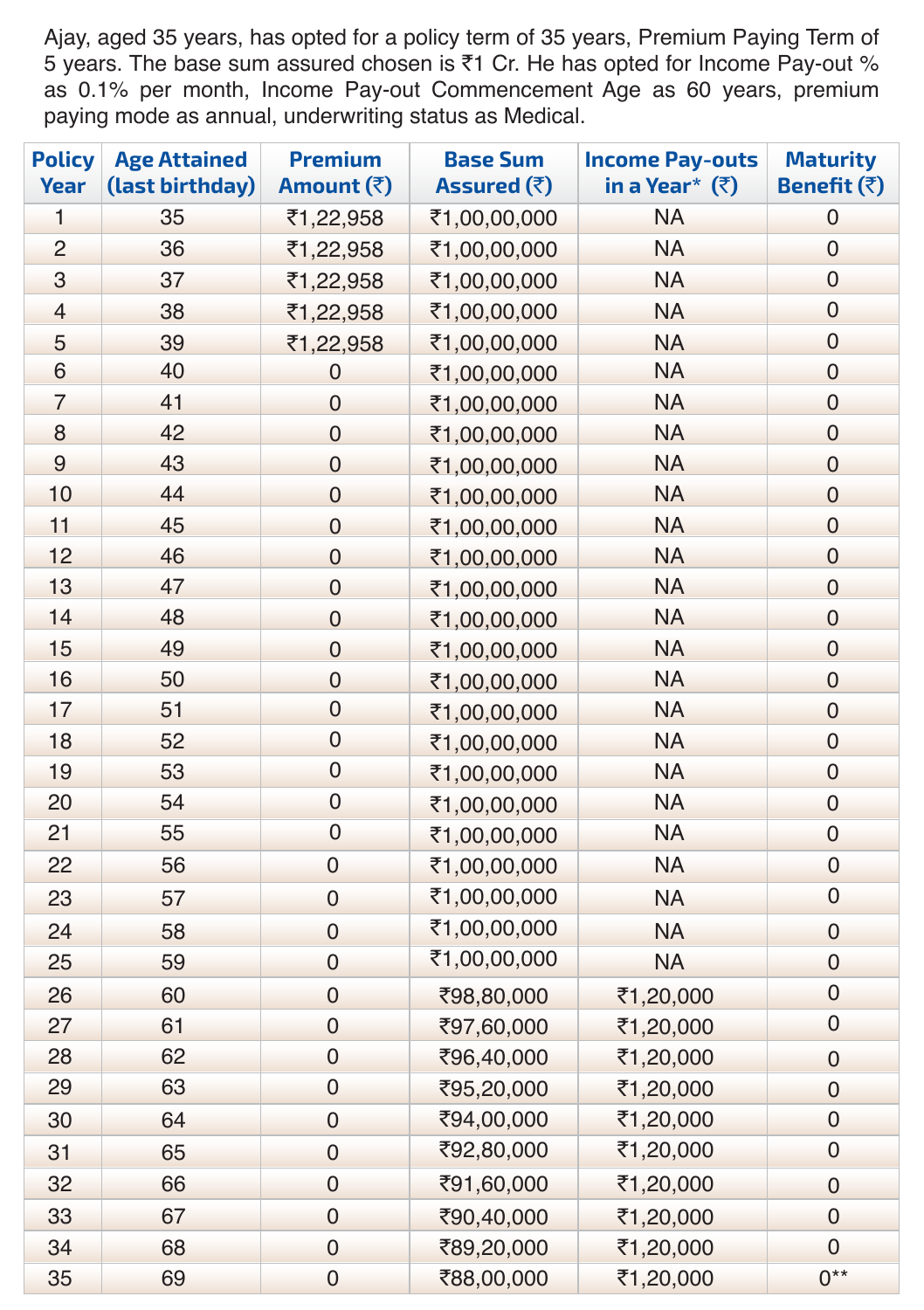Ajay, aged 35 years, has opted for a policy term of 35 years, Premium Paying Term of 5 years. The base sum assured chosen is ₹1 Cr. He has opted for Income Pay-out % as 0.1% per month, Income Pay-out Commencement Age as 60 years, premium paying mode as annual, underwriting status as Medical.

| <b>Policy</b><br><b>Year</b> | <b>Age Attained</b><br>(last birthday) | <b>Premium</b><br>Amount (₹) | <b>Base Sum</b><br>Assured (₹) | <b>Income Pay-outs</b><br>in a Year* $(3)$ | <b>Maturity</b><br>Benefit (₹) |
|------------------------------|----------------------------------------|------------------------------|--------------------------------|--------------------------------------------|--------------------------------|
| 1                            | 35                                     | ₹1,22,958                    | ₹1,00,00,000                   | <b>NA</b>                                  | $\pmb{0}$                      |
| $\overline{c}$               | 36                                     | ₹1,22,958                    | ₹1,00,00,000                   | <b>NA</b>                                  | $\boldsymbol{0}$               |
| $\ensuremath{\mathsf{3}}$    | 37                                     | ₹1,22,958                    | ₹1,00,00,000                   | <b>NA</b>                                  | $\pmb{0}$                      |
| $\overline{4}$               | 38                                     | ₹1,22,958                    | ₹1,00,00,000                   | <b>NA</b>                                  | $\pmb{0}$                      |
| 5                            | 39                                     | ₹1,22,958                    | ₹1,00,00,000                   | <b>NA</b>                                  | $\pmb{0}$                      |
| 6                            | 40                                     | $\mathbf 0$                  | ₹1,00,00,000                   | <b>NA</b>                                  | $\boldsymbol{0}$               |
| $\overline{7}$               | 41                                     | $\mathbf 0$                  | ₹1,00,00,000                   | <b>NA</b>                                  | $\boldsymbol{0}$               |
| 8                            | 42                                     | $\mathbf 0$                  | ₹1,00,00,000                   | <b>NA</b>                                  | $\boldsymbol{0}$               |
| $\overline{9}$               | 43                                     | $\mathbf 0$                  | ₹1,00,00,000                   | <b>NA</b>                                  | $\boldsymbol{0}$               |
| 10                           | 44                                     | $\mathbf 0$                  | ₹1,00,00,000                   | <b>NA</b>                                  | $\boldsymbol{0}$               |
| 11                           | 45                                     | $\mathbf 0$                  | ₹1,00,00,000                   | <b>NA</b>                                  | $\boldsymbol{0}$               |
| 12                           | 46                                     | $\mathsf{O}\xspace$          | ₹1,00,00,000                   | <b>NA</b>                                  | $\pmb{0}$                      |
| 13                           | 47                                     | $\mathbf 0$                  | ₹1,00,00,000                   | <b>NA</b>                                  | $\pmb{0}$                      |
| 14                           | 48                                     | 0                            | ₹1,00,00,000                   | <b>NA</b>                                  | $\pmb{0}$                      |
| 15                           | 49                                     | 0                            | ₹1,00,00,000                   | <b>NA</b>                                  | $\pmb{0}$                      |
| 16                           | 50                                     | 0                            | ₹1,00,00,000                   | <b>NA</b>                                  | $\boldsymbol{0}$               |
| 17                           | 51                                     | 0                            | ₹1,00,00,000                   | <b>NA</b>                                  | $\boldsymbol{0}$               |
| 18                           | 52                                     | 0                            | ₹1,00,00,000                   | <b>NA</b>                                  | $\boldsymbol{0}$               |
| 19                           | 53                                     | $\boldsymbol{0}$             | ₹1,00,00,000                   | <b>NA</b>                                  | $\boldsymbol{0}$               |
| 20                           | 54                                     | $\mathsf{O}\xspace$          | ₹1,00,00,000                   | <b>NA</b>                                  | $\pmb{0}$                      |
| 21                           | 55                                     | $\mathbf 0$                  | ₹1,00,00,000                   | <b>NA</b>                                  | $\pmb{0}$                      |
| 22                           | 56                                     | $\pmb{0}$                    | ₹1,00,00,000                   | <b>NA</b>                                  | $\pmb{0}$                      |
| 23                           | 57                                     | $\mathsf{O}\xspace$          | ₹1,00,00,000                   | <b>NA</b>                                  | $\pmb{0}$                      |
| 24                           | 58                                     | $\mathsf{O}\xspace$          | ₹1,00,00,000                   | <b>NA</b>                                  | $\boldsymbol{0}$               |
| 25                           | 59                                     | $\boldsymbol{0}$             | ₹1,00,00,000                   | <b>NA</b>                                  | $\boldsymbol{0}$               |
| 26                           | 60                                     | $\mathsf{O}\xspace$          | ₹98,80,000                     | ₹1,20,000                                  | $\boldsymbol{0}$               |
| 27                           | 61                                     | $\mathsf{O}\xspace$          | ₹97,60,000                     | ₹1,20,000                                  | 0                              |
| 28                           | 62                                     | $\mathsf{O}\xspace$          | ₹96,40,000                     | ₹1,20,000                                  | $\boldsymbol{0}$               |
| 29                           | 63                                     | $\mathsf{O}\xspace$          | ₹95,20,000                     | ₹1,20,000                                  | $\boldsymbol{0}$               |
| 30                           | 64                                     | $\pmb{0}$                    | ₹94,00,000                     | ₹1,20,000                                  | $\boldsymbol{0}$               |
| 31                           | 65                                     | $\mathsf{O}\xspace$          | ₹92,80,000                     | ₹1,20,000                                  | $\boldsymbol{0}$               |
| 32                           | 66                                     | $\mathsf{O}\xspace$          | ₹91,60,000                     | ₹1,20,000                                  | $\boldsymbol{0}$               |
| 33                           | 67                                     | $\mathsf{O}\xspace$          | ₹90,40,000                     | ₹1,20,000                                  | $\boldsymbol{0}$               |
| 34                           | 68                                     | $\mathsf{O}\xspace$          | ₹89,20,000                     | ₹1,20,000                                  | $\pmb{0}$                      |
| 35                           | 69                                     | $\mathsf{O}\xspace$          | ₹88,00,000                     | ₹1,20,000                                  | $0**$                          |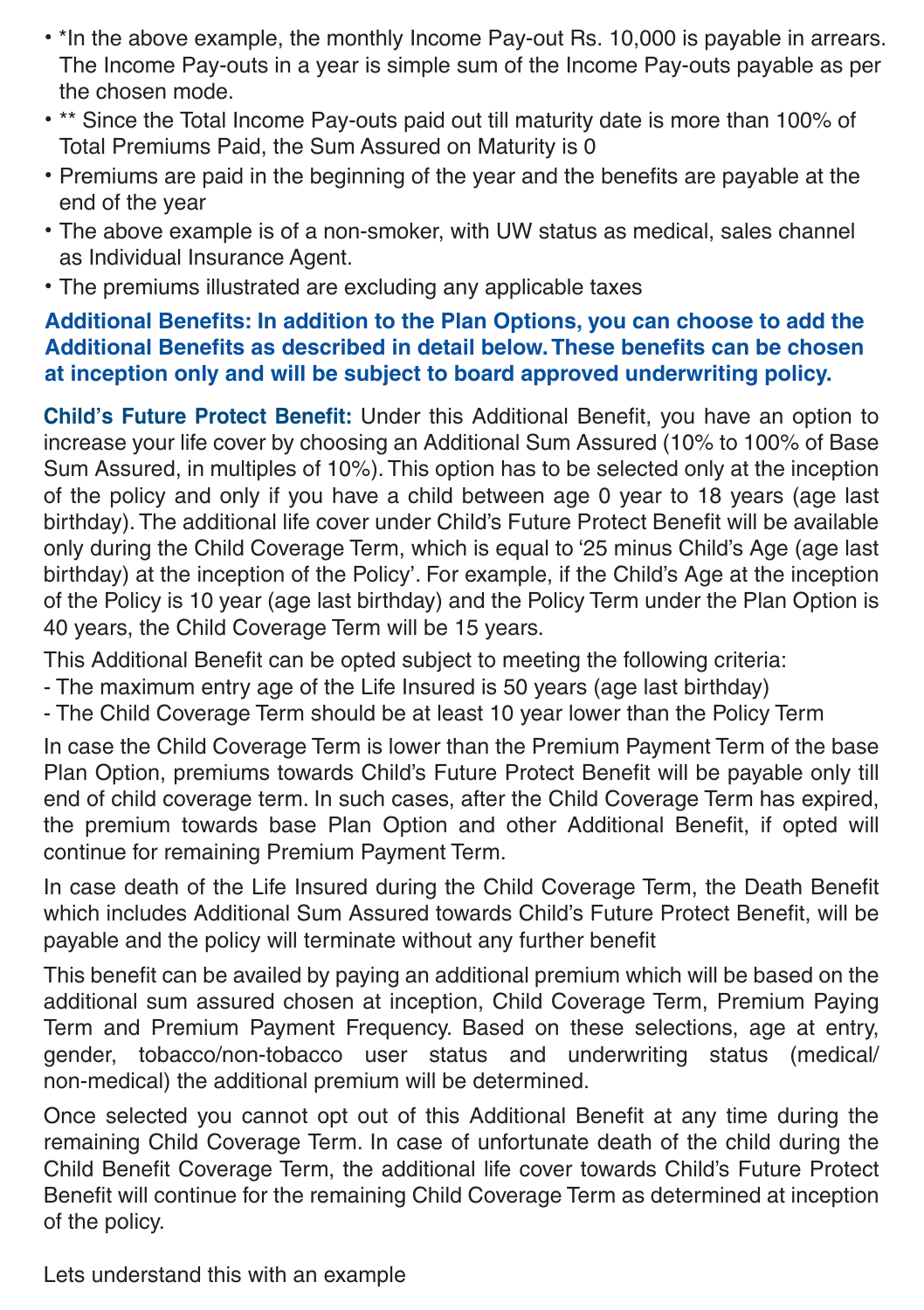- \*In the above example, the monthly Income Pay-out Rs. 10,000 is payable in arrears. The Income Pay-outs in a year is simple sum of the Income Pay-outs payable as per the chosen mode.
- \*\* Since the Total Income Pay-outs paid out till maturity date is more than 100% of Total Premiums Paid, the Sum Assured on Maturity is 0
- Premiums are paid in the beginning of the year and the benefits are payable at the end of the year
- The above example is of a non-smoker, with UW status as medical, sales channel as Individual Insurance Agent.
- The premiums illustrated are excluding any applicable taxes

#### **Additional Benefits: In addition to the Plan Options, you can choose to add the Additional Benefits as described in detail below. These benefits can be chosen at inception only and will be subject to board approved underwriting policy.**

**Child's Future Protect Benefit:** Under this Additional Benefit, you have an option to increase your life cover by choosing an Additional Sum Assured (10% to 100% of Base Sum Assured, in multiples of 10%). This option has to be selected only at the inception of the policy and only if you have a child between age 0 year to 18 years (age last birthday). The additional life cover under Child's Future Protect Benefit will be available only during the Child Coverage Term, which is equal to '25 minus Child's Age (age last birthday) at the inception of the Policy'. For example, if the Child's Age at the inception of the Policy is 10 year (age last birthday) and the Policy Term under the Plan Option is 40 years, the Child Coverage Term will be 15 years.

This Additional Benefit can be opted subject to meeting the following criteria:

- The maximum entry age of the Life Insured is 50 years (age last birthday)
- The Child Coverage Term should be at least 10 year lower than the Policy Term

In case the Child Coverage Term is lower than the Premium Payment Term of the base Plan Option, premiums towards Child's Future Protect Benefit will be payable only till end of child coverage term. In such cases, after the Child Coverage Term has expired, the premium towards base Plan Option and other Additional Benefit, if opted will continue for remaining Premium Payment Term.

In case death of the Life Insured during the Child Coverage Term, the Death Benefit which includes Additional Sum Assured towards Child's Future Protect Benefit, will be payable and the policy will terminate without any further benefit

This benefit can be availed by paying an additional premium which will be based on the additional sum assured chosen at inception, Child Coverage Term, Premium Paying Term and Premium Payment Frequency. Based on these selections, age at entry, gender, tobacco/non-tobacco user status and underwriting status (medical/ non-medical) the additional premium will be determined.

Once selected you cannot opt out of this Additional Benefit at any time during the remaining Child Coverage Term. In case of unfortunate death of the child during the Child Benefit Coverage Term, the additional life cover towards Child's Future Protect Benefit will continue for the remaining Child Coverage Term as determined at inception of the policy.

Lets understand this with an example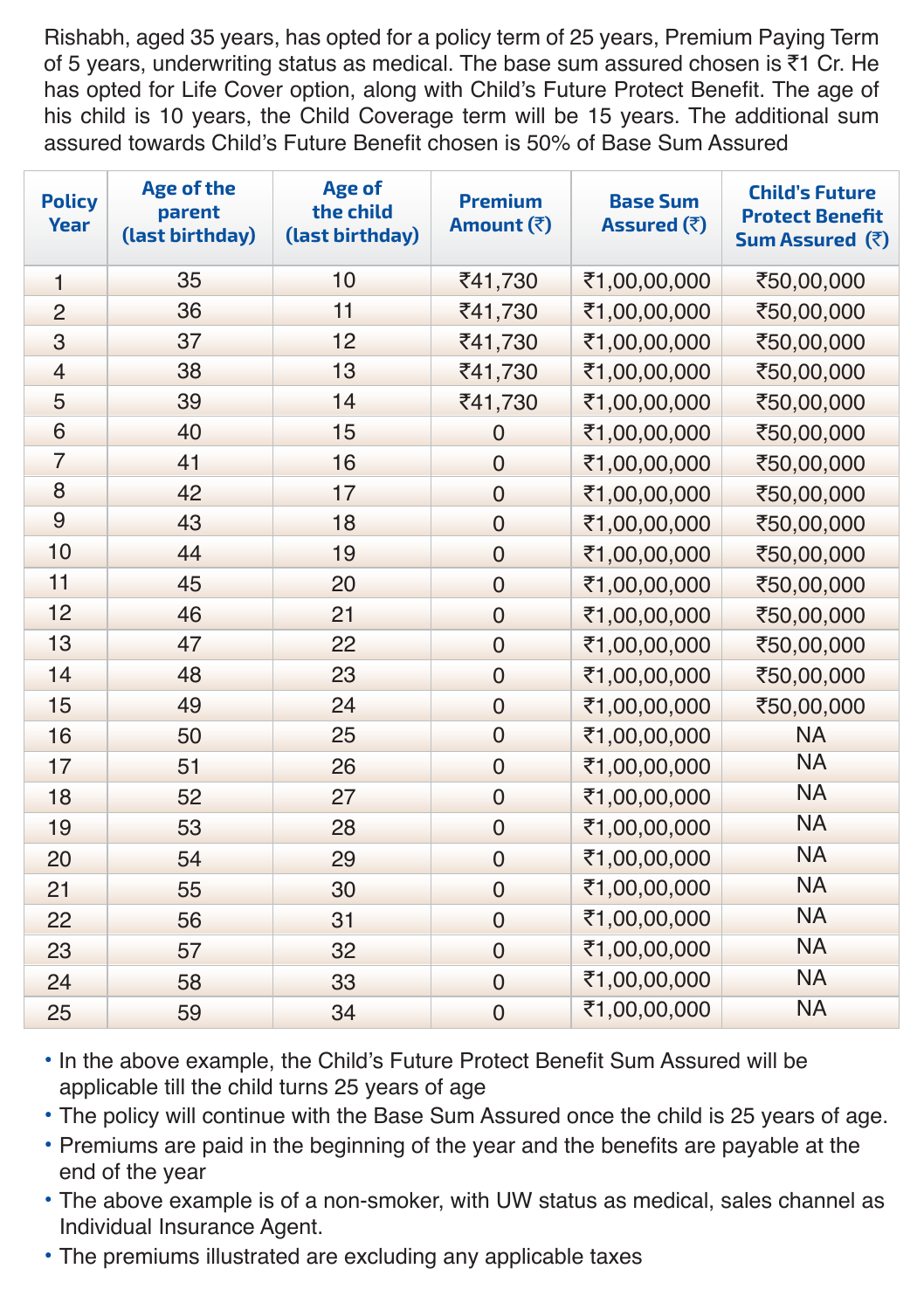Rishabh, aged 35 years, has opted for a policy term of 25 years, Premium Paying Term of 5 years, underwriting status as medical. The base sum assured chosen is  $\bar{z}1$  Cr. He has opted for Life Cover option, along with Child's Future Protect Benefit. The age of his child is 10 years, the Child Coverage term will be 15 years. The additional sum assured towards Child's Future Benefit chosen is 50% of Base Sum Assured

| <b>Policy</b><br>Year | <b>Age of the</b><br>parent<br>(last birthday) | Age of<br>the child<br>(last birthday) | <b>Premium</b><br>Amount (₹) | <b>Base Sum</b><br>Assured $(\bar{\tau})$ | <b>Child's Future</b><br><b>Protect Benefit</b><br>Sum Assured (₹) |
|-----------------------|------------------------------------------------|----------------------------------------|------------------------------|-------------------------------------------|--------------------------------------------------------------------|
| $\mathbf{1}$          | 35                                             | 10                                     | ₹41,730                      | ₹1,00,00,000                              | ₹50,00,000                                                         |
| $\overline{2}$        | 36                                             | 11                                     | ₹41,730                      | ₹1,00,00,000                              | ₹50,00,000                                                         |
| 3                     | 37                                             | 12                                     | ₹41,730                      | ₹1,00,00,000                              | ₹50,00,000                                                         |
| $\overline{4}$        | 38                                             | 13                                     | ₹41,730                      | ₹1,00,00,000                              | ₹50,00,000                                                         |
| 5                     | 39                                             | 14                                     | ₹41,730                      | ₹1,00,00,000                              | ₹50,00,000                                                         |
| 6                     | 40                                             | 15                                     | $\mathbf 0$                  | ₹1,00,00,000                              | ₹50,00,000                                                         |
| 7                     | 41                                             | 16                                     | $\Omega$                     | ₹1,00,00,000                              | ₹50,00,000                                                         |
| 8                     | 42                                             | 17                                     | 0                            | ₹1,00,00,000                              | ₹50,00,000                                                         |
| 9                     | 43                                             | 18                                     | $\mathbf 0$                  | ₹1,00,00,000                              | ₹50,00,000                                                         |
| 10                    | 44                                             | 19                                     | 0                            | ₹1,00,00,000                              | ₹50,00,000                                                         |
| 11                    | 45                                             | 20                                     | 0                            | ₹1,00,00,000                              | ₹50,00,000                                                         |
| 12                    | 46                                             | 21                                     | $\Omega$                     | ₹1,00,00,000                              | ₹50,00,000                                                         |
| 13                    | 47                                             | 22                                     | 0                            | ₹1,00,00,000                              | ₹50,00,000                                                         |
| 14                    | 48                                             | 23                                     | 0                            | ₹1,00,00,000                              | ₹50,00,000                                                         |
| 15                    | 49                                             | 24                                     | $\overline{0}$               | ₹1,00,00,000                              | ₹50,00,000                                                         |
| 16                    | 50                                             | 25                                     | 0                            | ₹1,00,00,000                              | <b>NA</b>                                                          |
| 17                    | 51                                             | 26                                     | 0                            | ₹1,00,00,000                              | <b>NA</b>                                                          |
| 18                    | 52                                             | 27                                     | $\overline{0}$               | ₹1,00,00,000                              | <b>NA</b>                                                          |
| 19                    | 53                                             | 28                                     | $\Omega$                     | ₹1,00,00,000                              | <b>NA</b>                                                          |
| 20                    | 54                                             | 29                                     | 0                            | ₹1,00,00,000                              | <b>NA</b>                                                          |
| 21                    | 55                                             | 30                                     | 0                            | ₹1,00,00,000                              | <b>NA</b>                                                          |
| 22                    | 56                                             | 31                                     | $\overline{0}$               | ₹1,00,00,000                              | <b>NA</b>                                                          |
| 23                    | 57                                             | 32                                     | 0                            | ₹1,00,00,000                              | <b>NA</b>                                                          |
| 24                    | 58                                             | 33                                     | 0                            | ₹1,00,00,000                              | <b>NA</b>                                                          |
| 25                    | 59                                             | 34                                     | $\mathbf 0$                  | ₹1,00,00,000                              | <b>NA</b>                                                          |

• In the above example, the Child's Future Protect Benefit Sum Assured will be applicable till the child turns 25 years of age

• The policy will continue with the Base Sum Assured once the child is 25 years of age.

• Premiums are paid in the beginning of the year and the benefits are payable at the end of the year

• The above example is of a non-smoker, with UW status as medical, sales channel as Individual Insurance Agent.

• The premiums illustrated are excluding any applicable taxes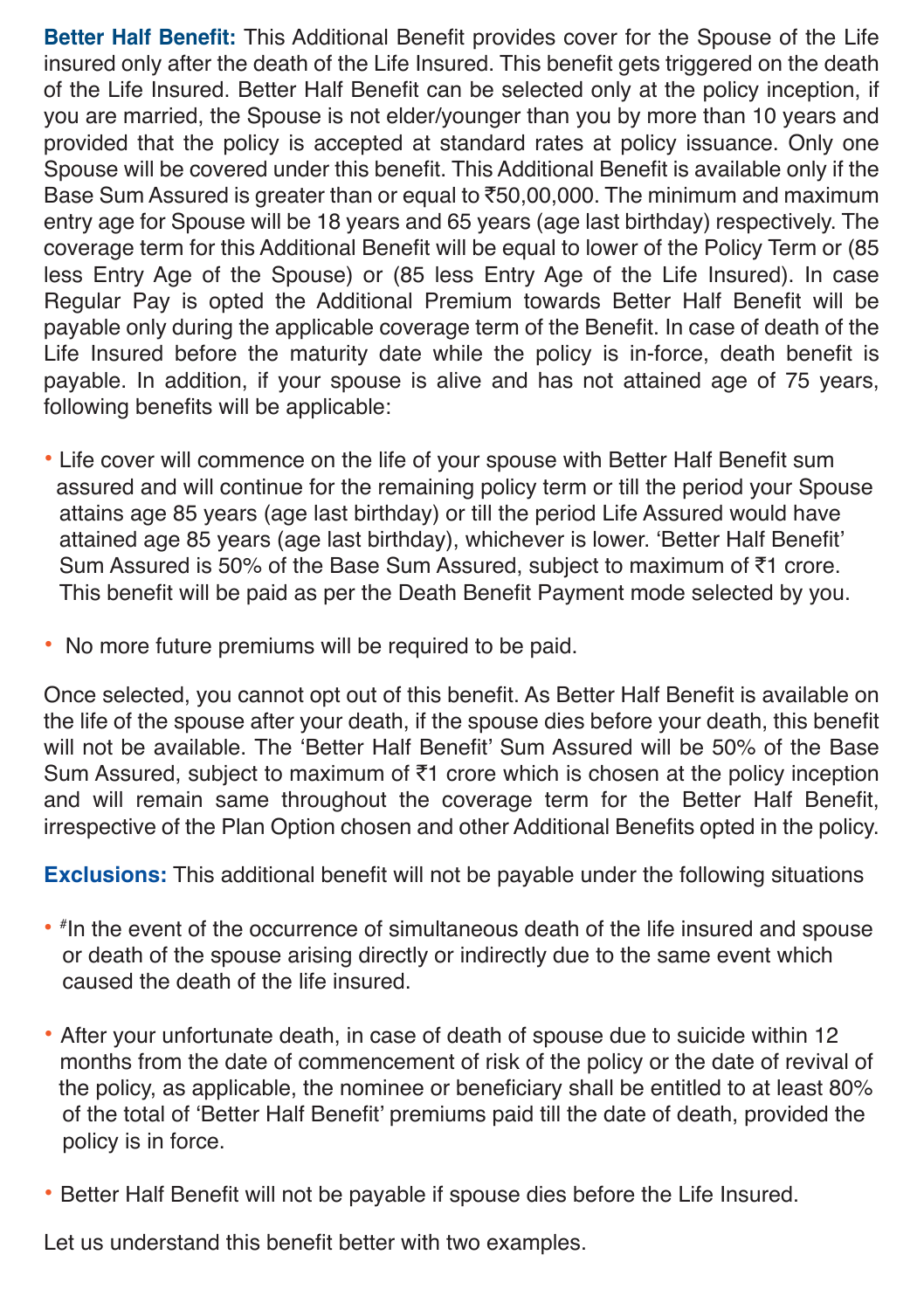**Better Half Benefit:** This Additional Benefit provides cover for the Spouse of the Life insured only after the death of the Life Insured. This benefit gets triggered on the death of the Life Insured. Better Half Benefit can be selected only at the policy inception, if you are married, the Spouse is not elder/younger than you by more than 10 years and provided that the policy is accepted at standard rates at policy issuance. Only one Spouse will be covered under this benefit. This Additional Benefit is available only if the Base Sum Assured is greater than or equal to  $\overline{5}50,00,000$ . The minimum and maximum entry age for Spouse will be 18 years and 65 years (age last birthday) respectively. The coverage term for this Additional Benefit will be equal to lower of the Policy Term or (85 less Entry Age of the Spouse) or (85 less Entry Age of the Life Insured). In case Regular Pay is opted the Additional Premium towards Better Half Benefit will be payable only during the applicable coverage term of the Benefit. In case of death of the Life Insured before the maturity date while the policy is in-force, death benefit is payable. In addition, if your spouse is alive and has not attained age of 75 years, following benefits will be applicable:

- Life cover will commence on the life of your spouse with Better Half Benefit sum assured and will continue for the remaining policy term or till the period your Spouse attains age 85 years (age last birthday) or till the period Life Assured would have attained age 85 years (age last birthday), whichever is lower. 'Better Half Benefit' Sum Assured is 50% of the Base Sum Assured, subject to maximum of ₹1 crore. This benefit will be paid as per the Death Benefit Payment mode selected by you.
- No more future premiums will be required to be paid.

Once selected, you cannot opt out of this benefit. As Better Half Benefit is available on the life of the spouse after your death, if the spouse dies before your death, this benefit will not be available. The 'Better Half Benefit' Sum Assured will be 50% of the Base Sum Assured, subject to maximum of  $\bar{z}$ 1 crore which is chosen at the policy inception and will remain same throughout the coverage term for the Better Half Benefit, irrespective of the Plan Option chosen and other Additional Benefits opted in the policy.

**Exclusions:** This additional benefit will not be payable under the following situations

- # In the event of the occurrence of simultaneous death of the life insured and spouse or death of the spouse arising directly or indirectly due to the same event which caused the death of the life insured.
- After your unfortunate death, in case of death of spouse due to suicide within 12 months from the date of commencement of risk of the policy or the date of revival of the policy, as applicable, the nominee or beneficiary shall be entitled to at least 80% of the total of 'Better Half Benefit' premiums paid till the date of death, provided the policy is in force.
- Better Half Benefit will not be payable if spouse dies before the Life Insured.

Let us understand this benefit better with two examples.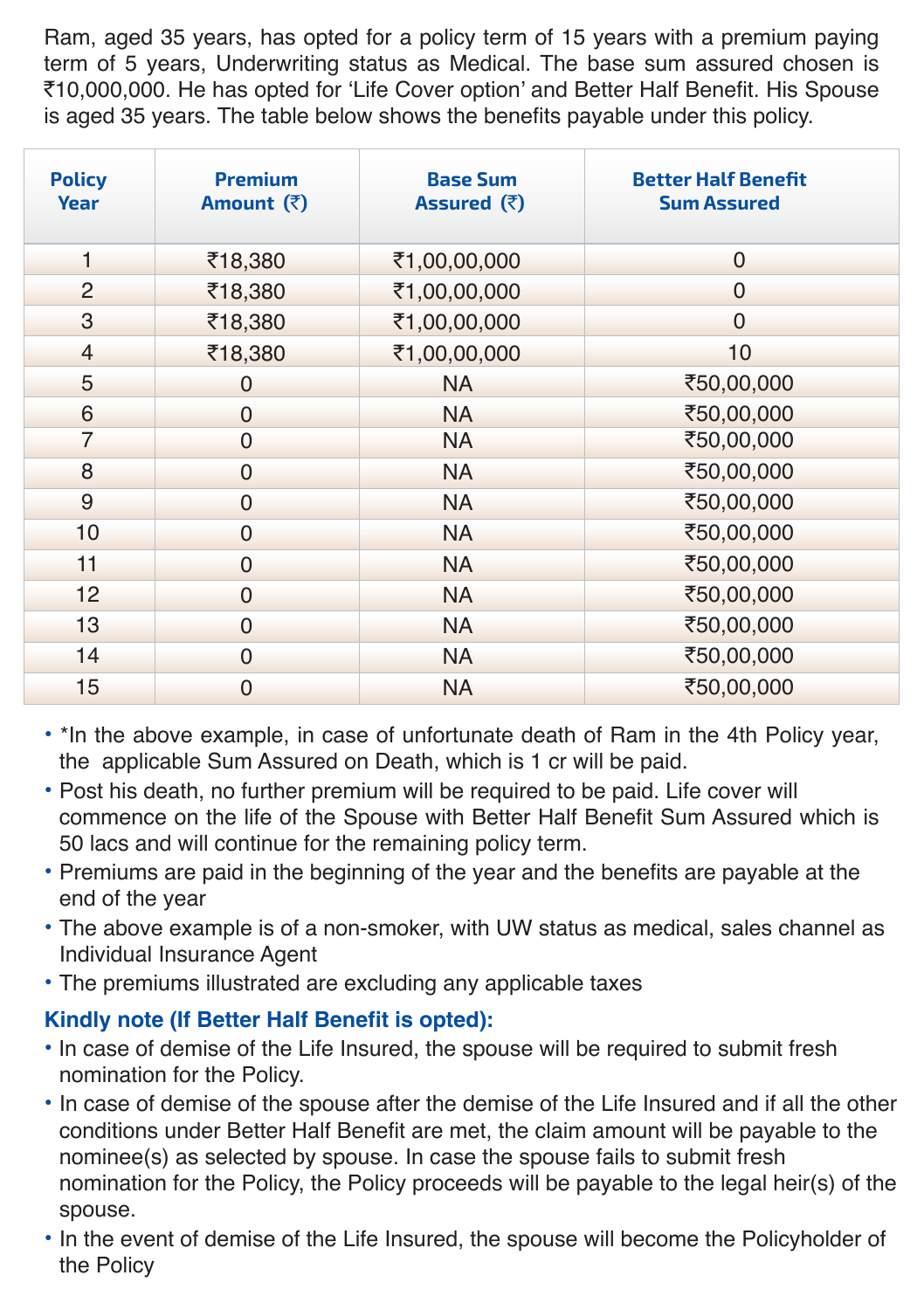Ram, aged 35 years, has opted for a policy term of 15 years with a premium paying term of 5 years, Underwriting status as Medical. The base sum assured chosen is `10,000,000. He has opted for 'Life Cover option' and Better Half Benefit. His Spouse is aged 35 years. The table below shows the benefits payable under this policy.

| <b>Policy</b><br>Year | <b>Premium</b><br>Amount $(\bar{z})$ | <b>Base Sum</b><br>Assured $(\bar{\zeta})$ | <b>Better Half Benefit</b><br><b>Sum Assured</b> |
|-----------------------|--------------------------------------|--------------------------------------------|--------------------------------------------------|
| 1                     | ₹18,380                              | ₹1,00,00,000                               | $\overline{0}$                                   |
| $\overline{2}$        | ₹18,380                              | ₹1,00,00,000                               | $\Omega$                                         |
| 3                     | ₹18,380                              | ₹1,00,00,000                               | $\Omega$                                         |
| $\overline{4}$        | ₹18,380                              | ₹1,00,00,000                               | 10                                               |
| 5                     | $\overline{0}$                       | <b>NA</b>                                  | ₹50,00,000                                       |
| 6                     | $\Omega$                             | <b>NA</b>                                  | ₹50,00,000                                       |
| 7                     | $\overline{0}$                       | <b>NA</b>                                  | ₹50,00,000                                       |
| 8                     | $\Omega$                             | <b>NA</b>                                  | ₹50,00,000                                       |
| 9                     | $\overline{0}$                       | <b>NA</b>                                  | ₹50,00,000                                       |
| 10                    | $\mathbf 0$                          | <b>NA</b>                                  | ₹50,00,000                                       |
| 11                    | $\overline{0}$                       | <b>NA</b>                                  | ₹50,00,000                                       |
| 12                    | $\Omega$                             | <b>NA</b>                                  | ₹50,00,000                                       |
| 13                    | $\overline{0}$                       | <b>NA</b>                                  | ₹50,00,000                                       |
| 14                    | $\Omega$                             | <b>NA</b>                                  | ₹50,00,000                                       |
| 15                    | $\Omega$                             | <b>NA</b>                                  | ₹50,00,000                                       |

- \*In the above example, in case of unfortunate death of Ram in the 4th Policy year, the applicable Sum Assured on Death, which is 1 cr will be paid.
- Post his death, no further premium will be required to be paid. Life cover will commence on the life of the Spouse with Better Half Benefit Sum Assured which is 50 lacs and will continue for the remaining policy term.
- Premiums are paid in the beginning of the year and the benefits are payable at the end of the year
- The above example is of a non-smoker, with UW status as medical, sales channel as Individual Insurance Agent
- The premiums illustrated are excluding any applicable taxes

### **Kindly note (If Better Half Benefit is opted):**

- In case of demise of the Life Insured, the spouse will be required to submit fresh nomination for the Policy.
- In case of demise of the spouse after the demise of the Life Insured and if all the other conditions under Better Half Benefit are met, the claim amount will be payable to the nominee(s) as selected by spouse. In case the spouse fails to submit fresh nomination for the Policy, the Policy proceeds will be payable to the legal heir(s) of the spouse.
- In the event of demise of the Life Insured, the spouse will become the Policyholder of the Policy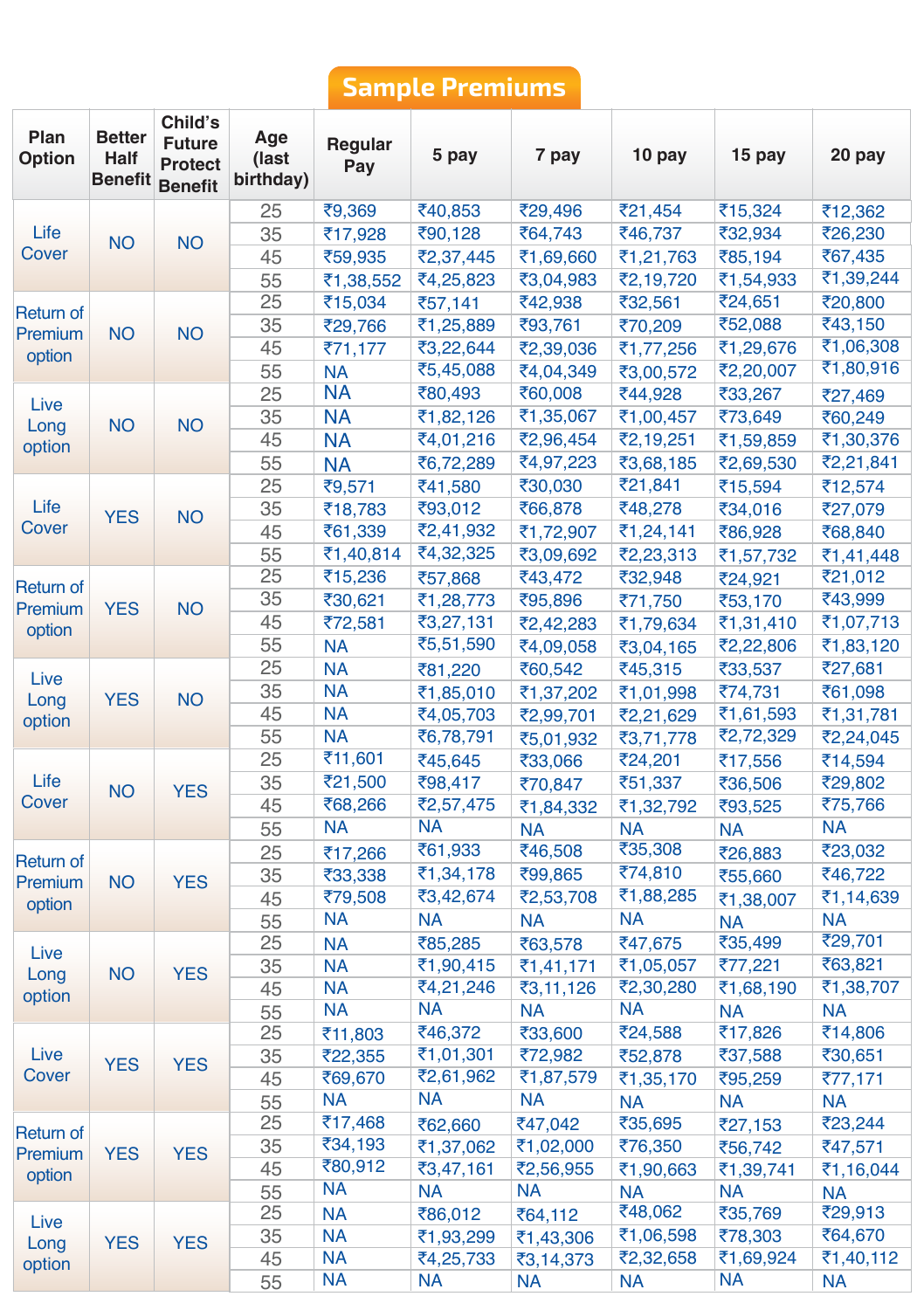# **Sample Premiums**

| Plan<br>Option   | <b>Better</b><br>Half | Child's<br><b>Future</b><br>Protect<br><b>Benefit Benefit</b> | Age<br>(last<br>birthday) | Regular<br>Pay         | 5 pay                  | 7 pay     | 10 pay    | 15 pay               | 20 pay               |
|------------------|-----------------------|---------------------------------------------------------------|---------------------------|------------------------|------------------------|-----------|-----------|----------------------|----------------------|
|                  |                       |                                                               | 25                        | ₹9,369                 | ₹40,853                | ₹29,496   | ₹21,454   | ₹15,324              | ₹12,362              |
| Life             | <b>NO</b>             | <b>NO</b>                                                     | 35                        | ₹17,928                | ₹90,128                | ₹64,743   | ₹46,737   | ₹32,934              | ₹26,230              |
| Cover            |                       |                                                               | 45                        | ₹59,935                | ₹2,37,445              | ₹1,69,660 | ₹1,21,763 | ₹85,194              | ₹67,435              |
|                  |                       |                                                               | 55                        | ₹1,38,552              | ₹4,25,823              | ₹3,04,983 | ₹2,19,720 | ₹1,54,933            | ₹1,39,244            |
| Return of        |                       |                                                               | 25                        | ₹15,034                | ₹57,141                | ₹42,938   | ₹32,561   | ₹24,651              | ₹20,800              |
| Premium          | <b>NO</b>             | <b>NO</b>                                                     | 35                        | ₹29,766                | ₹1,25,889              | ₹93,761   | ₹70,209   | ₹52,088              | ₹43,150              |
| option           |                       |                                                               | 45                        | ₹71,177                | ₹3,22,644              | ₹2,39,036 | ₹1,77,256 | ₹1,29,676            | ₹1,06,308            |
|                  |                       |                                                               | 55                        | <b>NA</b>              | ₹5,45,088              | ₹4,04,349 | ₹3,00,572 | ₹2,20,007            | ₹1,80,916            |
| Live             |                       |                                                               | 25                        | <b>NA</b>              | ₹80,493                | ₹60,008   | ₹44,928   | ₹33,267              | ₹27,469              |
| Long             | <b>NO</b>             | <b>NO</b>                                                     | 35                        | <b>NA</b>              | ₹1,82,126              | ₹1,35,067 | ₹1,00,457 | ₹73,649              | ₹60,249              |
| option           |                       |                                                               | 45                        | <b>NA</b>              | ₹4,01,216              | ₹2,96,454 | ₹2,19,251 | ₹1,59,859            | ₹1,30,376            |
|                  |                       |                                                               | 55                        | <b>NA</b>              | ₹6,72,289              | ₹4,97,223 | ₹3,68,185 | ₹2,69,530            | ₹2,21,841            |
|                  |                       |                                                               | 25                        | ₹9,571                 | ₹41,580                | ₹30,030   | ₹21,841   | ₹15,594              | ₹12,574              |
| Life             | <b>YES</b>            | <b>NO</b>                                                     | 35                        | ₹18,783                | ₹93,012                | ₹66,878   | ₹48,278   | ₹34,016              | ₹27,079              |
| Cover            |                       |                                                               | 45                        | ₹61,339                | ₹2,41,932              | ₹1,72,907 | ₹1,24,141 | ₹86,928              | ₹68,840              |
|                  |                       |                                                               | 55                        | ₹1,40,814              | ₹4,32,325              | ₹3,09,692 | ₹2,23,313 | ₹1,57,732            | ₹1,41,448            |
| <b>Return of</b> |                       |                                                               | 25                        | ₹15,236                | ₹57,868                | ₹43,472   | ₹32,948   | ₹24,921              | ₹21,012              |
| Premium          | <b>YES</b>            | <b>NO</b>                                                     | 35                        | ₹30,621                | ₹1,28,773              | ₹95,896   | ₹71,750   | ₹53,170              | ₹43,999              |
| option           |                       |                                                               | 45                        | ₹72,581                | ₹3,27,131              | ₹2,42,283 | ₹1,79,634 | ₹1,31,410            | ₹1,07,713            |
|                  |                       |                                                               | 55                        | <b>NA</b>              | ₹5,51,590              | ₹4,09,058 | ₹3,04,165 | ₹2,22,806            | ₹1,83,120            |
| Live             |                       |                                                               | 25                        | <b>NA</b>              | ₹81,220                | ₹60,542   | ₹45,315   | ₹33,537              | ₹27,681              |
| Long             | <b>YES</b>            | <b>NO</b>                                                     | 35                        | <b>NA</b>              | ₹1,85,010              | ₹1,37,202 | ₹1,01,998 | ₹74,731              | ₹61,098              |
| option           |                       |                                                               | 45                        | <b>NA</b>              | ₹4,05,703              | ₹2,99,701 | ₹2,21,629 | ₹1,61,593            | ₹1,31,781            |
|                  |                       |                                                               | 55                        | <b>NA</b>              | ₹6,78,791              | ₹5,01,932 | ₹3,71,778 | ₹2,72,329            | ₹2,24,045            |
|                  |                       |                                                               | 25                        | ₹11,601                | ₹45,645                | ₹33,066   | ₹24,201   | ₹17,556              | ₹14,594              |
| Life             | <b>NO</b>             | <b>YES</b>                                                    | 35                        | ₹21,500                | ₹98,417                | ₹70,847   | ₹51,337   | ₹36,506              | ₹29,802              |
| Cover            |                       |                                                               | 45                        | ₹68,266                | ₹2,57,475              | ₹1,84,332 | ₹1,32,792 | ₹93,525              | ₹75,766              |
|                  |                       |                                                               | 55                        | <b>NA</b>              | NA                     | <b>NA</b> | <b>NA</b> | <b>NA</b>            | <b>NA</b>            |
| <b>Return of</b> |                       |                                                               | 25                        | ₹17,266                | ₹61,933                | ₹46,508   | ₹35,308   | ₹26,883              | ₹23,032              |
| Premium          | <b>NO</b>             | <b>YES</b>                                                    | 35                        | ₹33,338                | ₹1,34,178              | ₹99,865   | ₹74,810   | ₹55,660              | ₹46,722              |
| option           |                       |                                                               | 45                        | ₹79,508                | ₹3,42,674              | ₹2,53,708 | ₹1,88,285 | ₹1,38,007            | ₹1,14,639            |
|                  |                       |                                                               | 55                        | <b>NA</b>              | NA                     | <b>NA</b> | <b>NA</b> | <b>NA</b>            | <b>NA</b>            |
| Live             |                       |                                                               | 25                        | <b>NA</b>              | ₹85,285                | ₹63,578   | ₹47,675   | ₹35,499              | ₹29,701              |
| Long             | <b>NO</b>             | <b>YES</b>                                                    | 35                        | <b>NA</b>              | ₹1,90,415              | ₹1,41,171 | ₹1,05,057 | ₹77,221              | ₹63,821              |
| option           |                       |                                                               | 45                        | <b>NA</b>              | ₹4,21,246              | ₹3,11,126 | ₹2,30,280 | ₹1,68,190            | ₹1,38,707            |
|                  |                       |                                                               | 55                        | <b>NA</b>              | NA                     | <b>NA</b> | <b>NA</b> | <b>NA</b>            | <b>NA</b>            |
|                  |                       |                                                               | 25                        | ₹11,803                | ₹46,372                | ₹33,600   | ₹24,588   | ₹17,826              | ₹14,806              |
| Live             | <b>YES</b>            | <b>YES</b>                                                    | 35                        | ₹22,355                | ₹1,01,301              | ₹72,982   | ₹52,878   | ₹37,588              | ₹30,651              |
| Cover            |                       |                                                               | 45                        | ₹69,670                | ₹2,61,962              | ₹1,87,579 | ₹1,35,170 | ₹95,259              | ₹77,171              |
|                  |                       |                                                               | 55                        | <b>NA</b>              | <b>NA</b>              | <b>NA</b> | NA        | <b>NA</b>            | <b>NA</b>            |
| <b>Return of</b> |                       |                                                               | 25                        | ₹17,468                | ₹62,660                | ₹47,042   | ₹35,695   | ₹27,153              | ₹23,244              |
| Premium          | <b>YES</b>            | <b>YES</b>                                                    | 35                        | ₹34,193<br>₹80,912     | ₹1,37,062              | ₹1,02,000 | ₹76,350   | ₹56,742              | ₹47,571              |
| option           |                       |                                                               | 45                        | <b>NA</b>              | ₹3,47,161              | ₹2,56,955 | ₹1,90,663 | ₹1,39,741            | ₹1,16,044            |
|                  |                       |                                                               | 55                        |                        | NA                     | <b>NA</b> | <b>NA</b> | <b>NA</b>            | <b>NA</b>            |
| Live             |                       |                                                               | 25                        | <b>NA</b>              | ₹86,012                | ₹64,112   | ₹48,062   | ₹35,769              | ₹29,913              |
| Long             | <b>YES</b>            | <b>YES</b>                                                    | 35                        | <b>NA</b><br><b>NA</b> | ₹1,93,299<br>₹4,25,733 | ₹1,43,306 | ₹1,06,598 | ₹78,303<br>₹1,69,924 | ₹64,670<br>₹1,40,112 |
| option           |                       |                                                               | 45                        | <b>NA</b>              |                        | ₹3,14,373 | ₹2,32,658 | <b>NA</b>            |                      |
|                  |                       |                                                               | 55                        |                        | <b>NA</b>              | <b>NA</b> | <b>NA</b> |                      | <b>NA</b>            |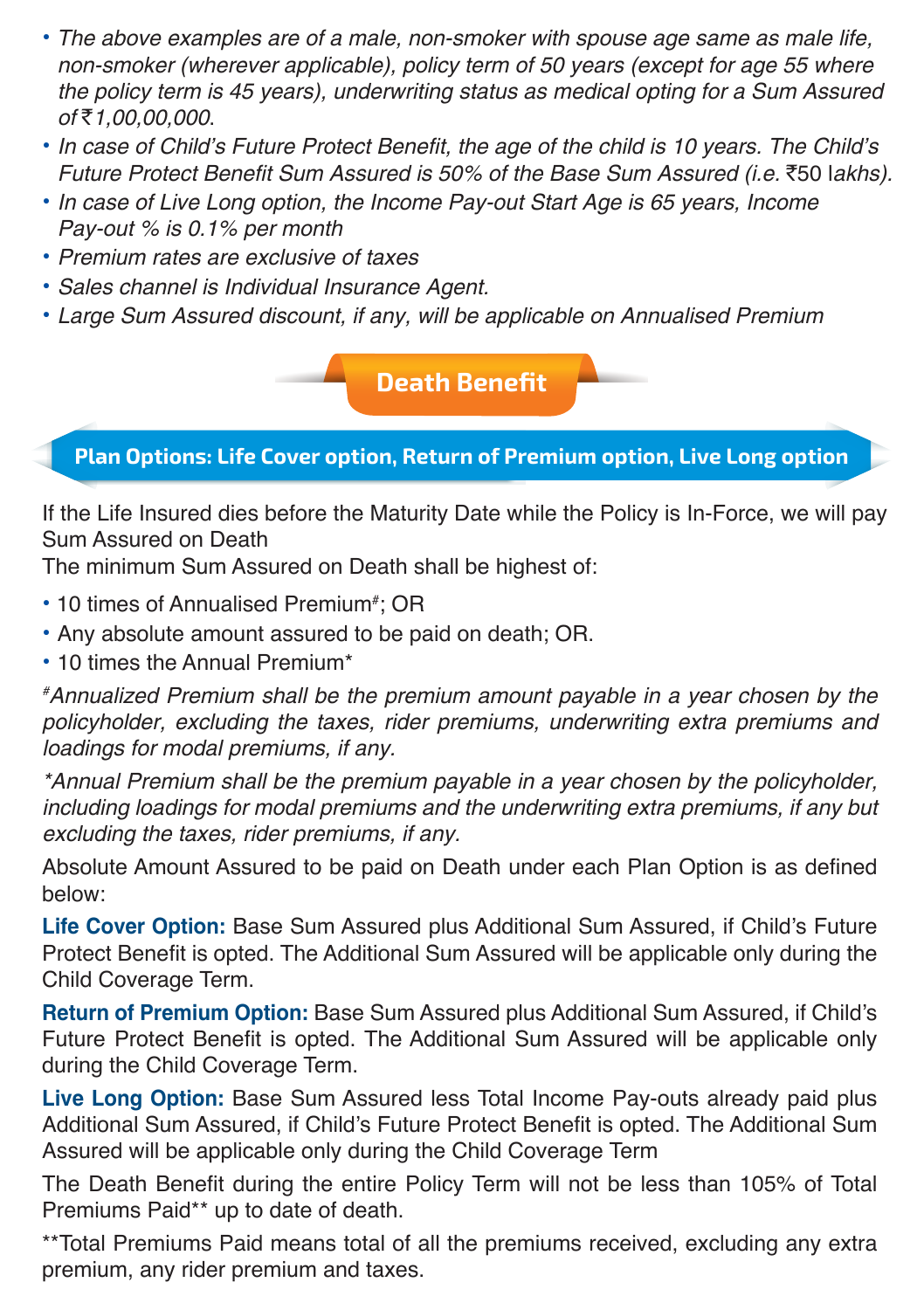- The above examples are of a male, non-smoker with spouse age same as male life, non-smoker (wherever applicable), policy term of 50 years (except for age 55 where the policy term is 45 years), underwriting status as medical opting for a Sum Assured of₹1,00,00,000.
- In case of Child's Future Protect Benefit, the age of the child is 10 years. The Child's Future Protect Benefit Sum Assured is 50% of the Base Sum Assured (i.e. `50 lakhs).
- In case of Live Long option, the Income Pay-out Start Age is 65 years, Income Pay-out % is 0.1% per month
- Premium rates are exclusive of taxes
- Sales channel is Individual Insurance Agent.
- Large Sum Assured discount, if any, will be applicable on Annualised Premium

**Death Benefit**

**Plan Options: Life Cover option, Return of Premium option, Live Long option**

If the Life Insured dies before the Maturity Date while the Policy is In-Force, we will pay Sum Assured on Death

The minimum Sum Assured on Death shall be highest of:

- 10 times of Annualised Premium<sup>#</sup>; OR
- Any absolute amount assured to be paid on death; OR.
- 10 times the Annual Premium\*

# Annualized Premium shall be the premium amount payable in a year chosen by the policyholder, excluding the taxes, rider premiums, underwriting extra premiums and loadings for modal premiums, if any.

\*Annual Premium shall be the premium payable in a year chosen by the policyholder, including loadings for modal premiums and the underwriting extra premiums, if any but excluding the taxes, rider premiums, if any.

Absolute Amount Assured to be paid on Death under each Plan Option is as defined below:

**Life Cover Option:** Base Sum Assured plus Additional Sum Assured, if Child's Future Protect Benefit is opted. The Additional Sum Assured will be applicable only during the Child Coverage Term.

**Return of Premium Option:** Base Sum Assured plus Additional Sum Assured, if Child's Future Protect Benefit is opted. The Additional Sum Assured will be applicable only during the Child Coverage Term.

**Live Long Option:** Base Sum Assured less Total Income Pay-outs already paid plus Additional Sum Assured, if Child's Future Protect Benefit is opted. The Additional Sum Assured will be applicable only during the Child Coverage Term

The Death Benefit during the entire Policy Term will not be less than 105% of Total Premiums Paid\*\* up to date of death.

\*\*Total Premiums Paid means total of all the premiums received, excluding any extra premium, any rider premium and taxes.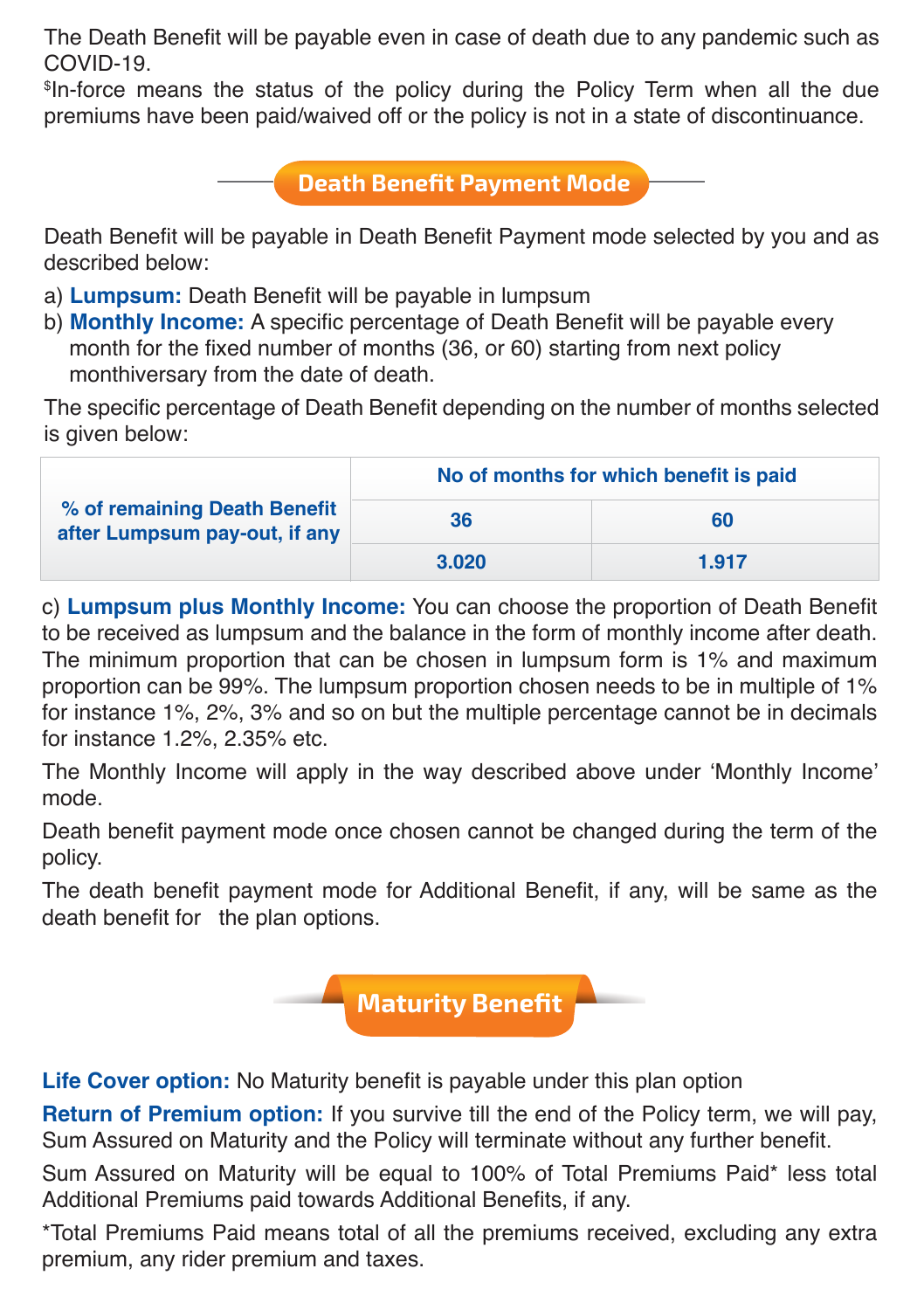The Death Benefit will be payable even in case of death due to any pandemic such as COVID-19.

\$ In-force means the status of the policy during the Policy Term when all the due premiums have been paid/waived off or the policy is not in a state of discontinuance.

### **Death Benefit Payment Mode**

Death Benefit will be payable in Death Benefit Payment mode selected by you and as described below:

- a) **Lumpsum:** Death Benefit will be payable in lumpsum
- b) **Monthly Income:** A specific percentage of Death Benefit will be payable every month for the fixed number of months (36, or 60) starting from next policy monthiversary from the date of death.

The specific percentage of Death Benefit depending on the number of months selected is given below:

| % of remaining Death Benefit<br>after Lumpsum pay-out, if any | No of months for which benefit is paid |       |  |
|---------------------------------------------------------------|----------------------------------------|-------|--|
|                                                               | 36                                     | 60    |  |
|                                                               | 3.020                                  | 1.917 |  |

c) **Lumpsum plus Monthly Income:** You can choose the proportion of Death Benefit to be received as lumpsum and the balance in the form of monthly income after death. The minimum proportion that can be chosen in lumpsum form is 1% and maximum proportion can be 99%. The lumpsum proportion chosen needs to be in multiple of 1% for instance 1%, 2%, 3% and so on but the multiple percentage cannot be in decimals for instance 1.2%, 2.35% etc.

The Monthly Income will apply in the way described above under 'Monthly Income' mode.

Death benefit payment mode once chosen cannot be changed during the term of the policy.

The death benefit payment mode for Additional Benefit, if any, will be same as the death benefit for the plan options.



**Life Cover option:** No Maturity benefit is payable under this plan option

**Return of Premium option:** If you survive till the end of the Policy term, we will pay, Sum Assured on Maturity and the Policy will terminate without any further benefit.

Sum Assured on Maturity will be equal to 100% of Total Premiums Paid\* less total Additional Premiums paid towards Additional Benefits, if any.

\*Total Premiums Paid means total of all the premiums received, excluding any extra premium, any rider premium and taxes.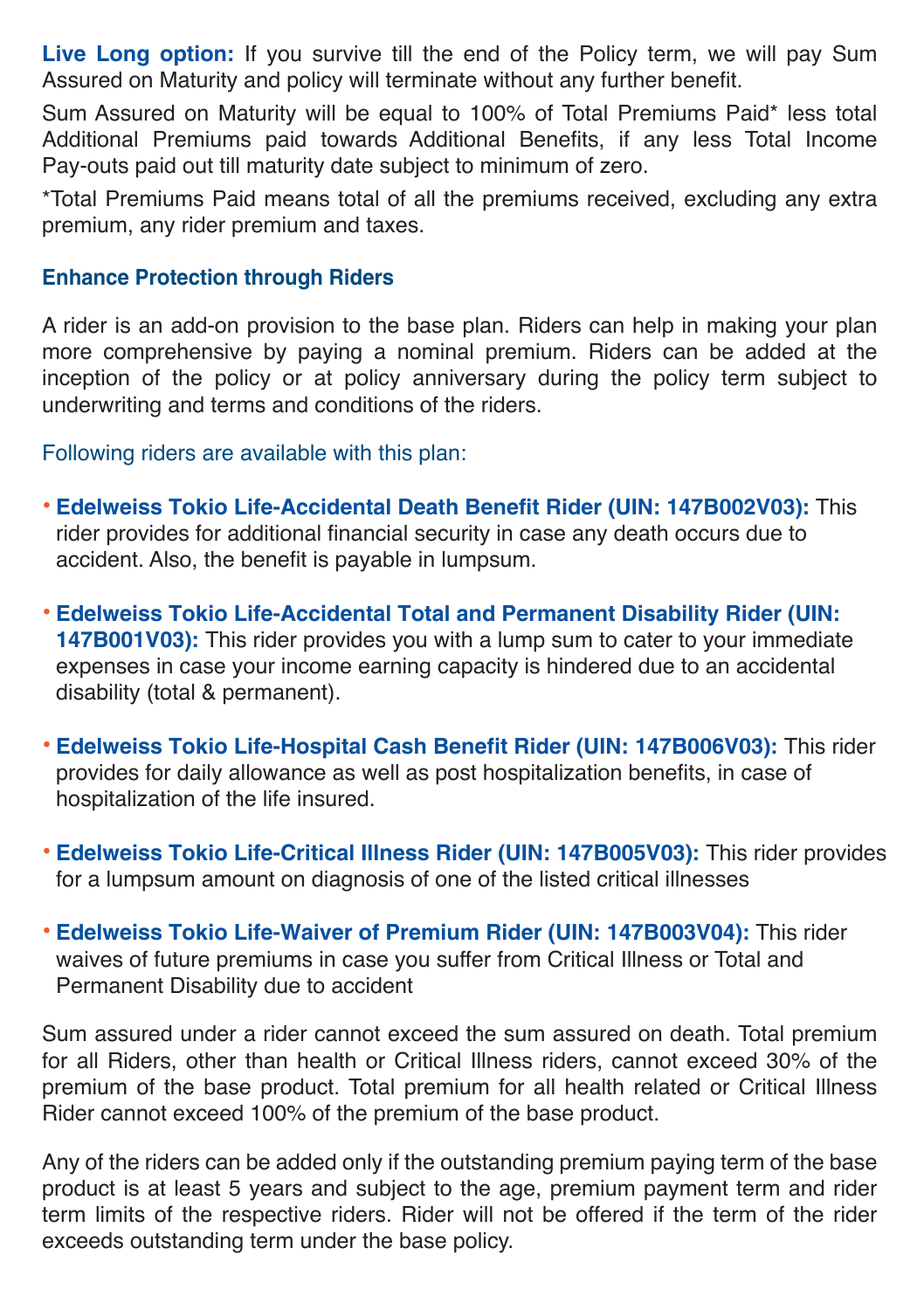**Live Long option:** If you survive till the end of the Policy term, we will pay Sum Assured on Maturity and policy will terminate without any further benefit.

Sum Assured on Maturity will be equal to 100% of Total Premiums Paid\* less total Additional Premiums paid towards Additional Benefits, if any less Total Income Pay-outs paid out till maturity date subject to minimum of zero.

\*Total Premiums Paid means total of all the premiums received, excluding any extra premium, any rider premium and taxes.

#### **Enhance Protection through Riders**

A rider is an add-on provision to the base plan. Riders can help in making your plan more comprehensive by paying a nominal premium. Riders can be added at the inception of the policy or at policy anniversary during the policy term subject to underwriting and terms and conditions of the riders.

Following riders are available with this plan:

- **Edelweiss Tokio Life-Accidental Death Benefit Rider (UIN: 147B002V03):** This rider provides for additional financial security in case any death occurs due to accident. Also, the benefit is payable in lumpsum.
- **Edelweiss Tokio Life-Accidental Total and Permanent Disability Rider (UIN: 147B001V03):** This rider provides you with a lump sum to cater to your immediate expenses in case your income earning capacity is hindered due to an accidental disability (total & permanent).
- **Edelweiss Tokio Life-Hospital Cash Benefit Rider (UIN: 147B006V03):** This rider provides for daily allowance as well as post hospitalization benefits, in case of hospitalization of the life insured.
- **Edelweiss Tokio Life-Critical Illness Rider (UIN: 147B005V03):** This rider provides for a lumpsum amount on diagnosis of one of the listed critical illnesses
- **Edelweiss Tokio Life-Waiver of Premium Rider (UIN: 147B003V04):** This rider waives of future premiums in case you suffer from Critical Illness or Total and Permanent Disability due to accident

Sum assured under a rider cannot exceed the sum assured on death. Total premium for all Riders, other than health or Critical Illness riders, cannot exceed 30% of the premium of the base product. Total premium for all health related or Critical Illness Rider cannot exceed 100% of the premium of the base product.

Any of the riders can be added only if the outstanding premium paying term of the base product is at least 5 years and subject to the age, premium payment term and rider term limits of the respective riders. Rider will not be offered if the term of the rider exceeds outstanding term under the base policy.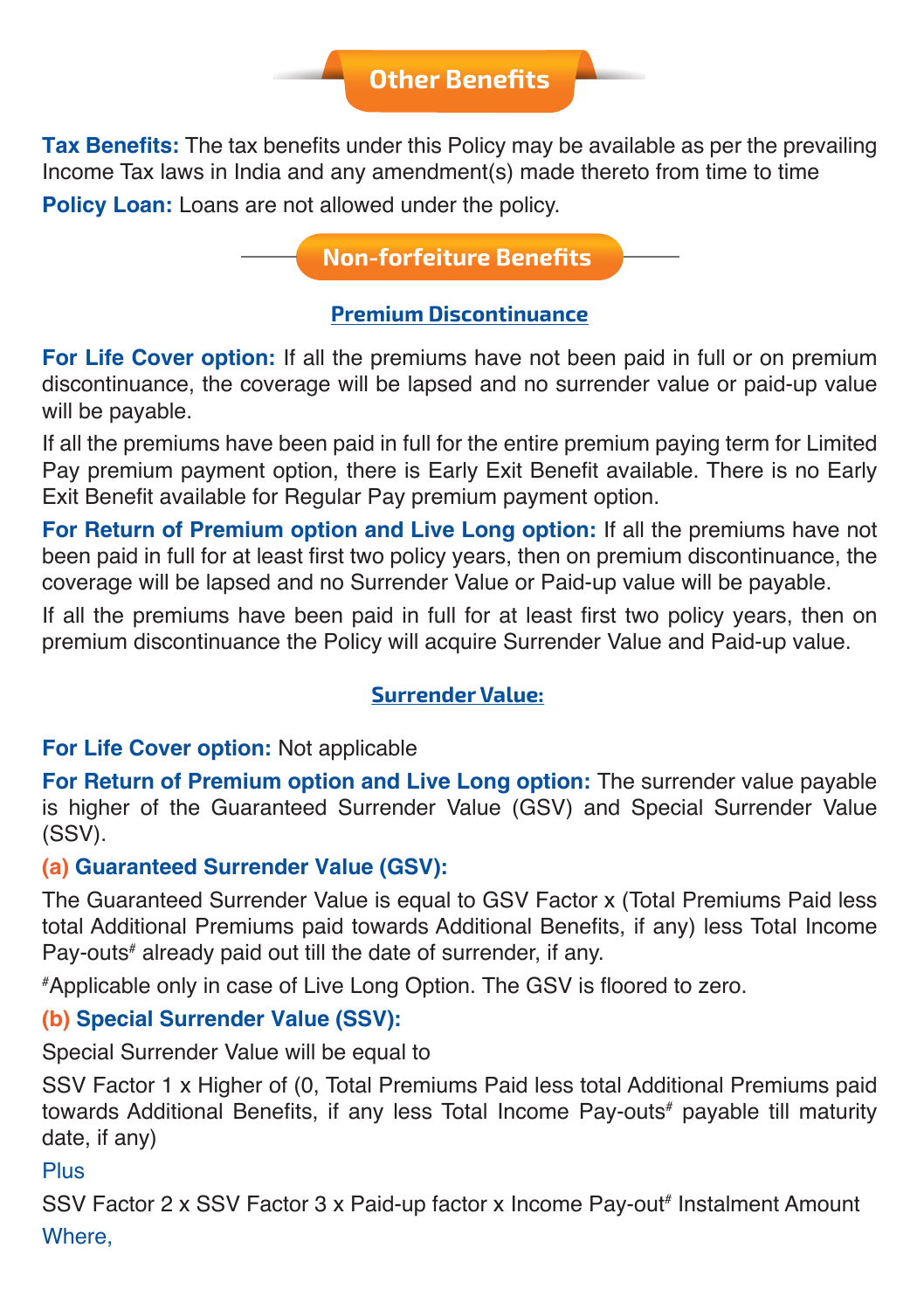## **Other Benefits**

**Tax Benefits:** The tax benefits under this Policy may be available as per the prevailing Income Tax laws in India and any amendment(s) made thereto from time to time Policy Loan: Loans are not allowed under the policy.

**Non-forfeiture Benefits** 

#### **Premium Discontinuance**

**For Life Cover option:** If all the premiums have not been paid in full or on premium discontinuance, the coverage will be lapsed and no surrender value or paid-up value will be payable.

If all the premiums have been paid in full for the entire premium paying term for Limited Pay premium payment option, there is Early Exit Benefit available. There is no Early Exit Benefit available for Regular Pay premium payment option.

**For Return of Premium option and Live Long option:** If all the premiums have not been paid in full for at least first two policy years, then on premium discontinuance, the coverage will be lapsed and no Surrender Value or Paid-up value will be payable.

If all the premiums have been paid in full for at least first two policy years, then on premium discontinuance the Policy will acquire Surrender Value and Paid-up value.

#### **Surrender Value:**

#### **For Life Cover option:** Not applicable

**For Return of Premium option and Live Long option:** The surrender value payable is higher of the Guaranteed Surrender Value (GSV) and Special Surrender Value (SSV).

#### **(a) Guaranteed Surrender Value (GSV):**

The Guaranteed Surrender Value is equal to GSV Factor x (Total Premiums Paid less total Additional Premiums paid towards Additional Benefits, if any) less Total Income Pay-outs# already paid out till the date of surrender, if any.

# Applicable only in case of Live Long Option. The GSV is floored to zero.

#### **(b) Special Surrender Value (SSV):**

Special Surrender Value will be equal to

SSV Factor 1 x Higher of (0, Total Premiums Paid less total Additional Premiums paid towards Additional Benefits, if any less Total Income Pay-outs# payable till maturity date, if any)

#### Plus

SSV Factor 2 x SSV Factor 3 x Paid-up factor x Income Pay-out<sup>#</sup> Instalment Amount Where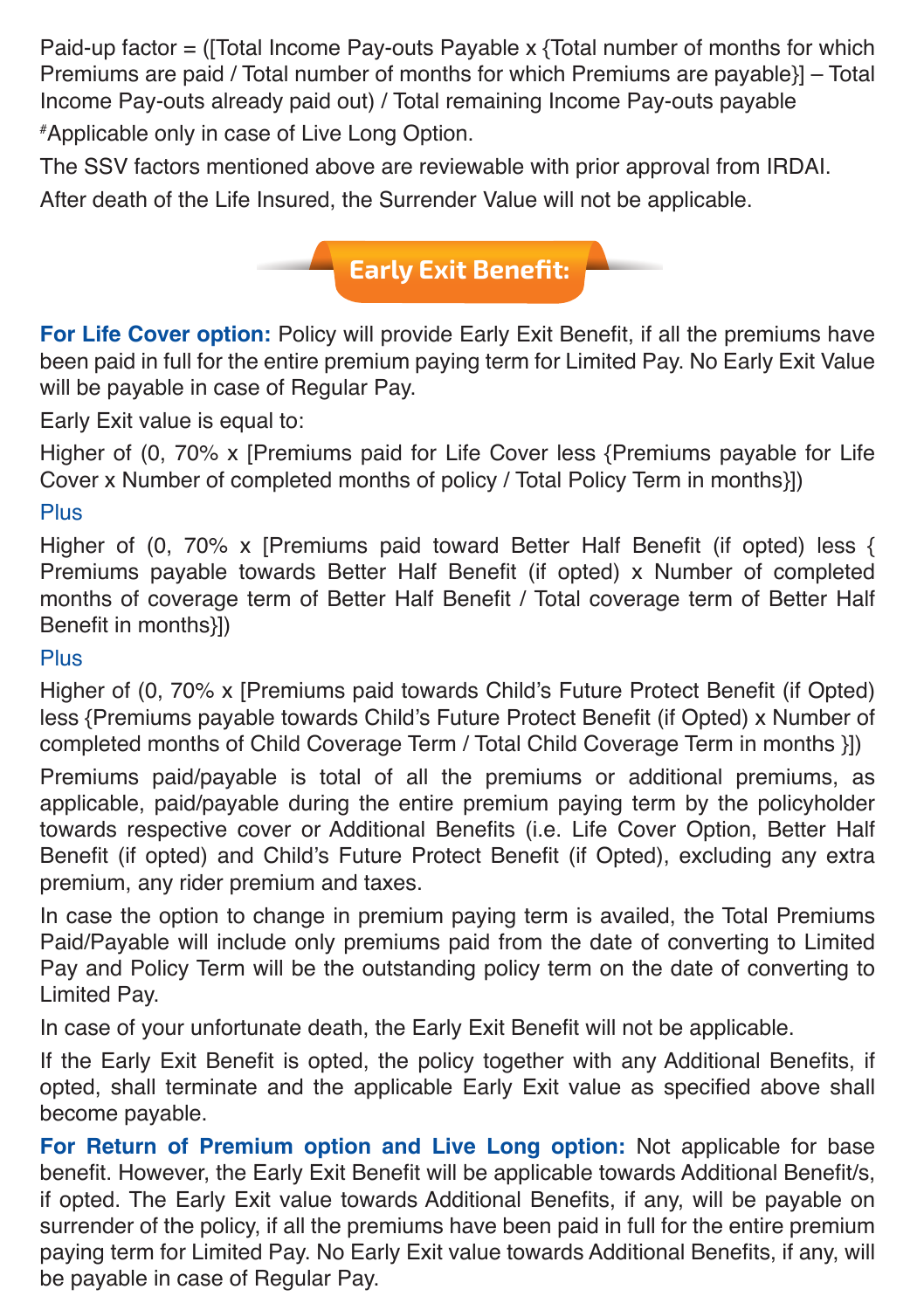Paid-up factor  $=$  ([Total Income Pay-outs Payable x {Total number of months for which Premiums are paid / Total number of months for which Premiums are payable}] – Total Income Pay-outs already paid out) / Total remaining Income Pay-outs payable

# Applicable only in case of Live Long Option.

The SSV factors mentioned above are reviewable with prior approval from IRDAI.

After death of the Life Insured, the Surrender Value will not be applicable.



**For Life Cover option:** Policy will provide Early Exit Benefit, if all the premiums have been paid in full for the entire premium paying term for Limited Pay. No Early Exit Value will be payable in case of Regular Pay.

Early Exit value is equal to:

Higher of (0, 70% x [Premiums paid for Life Cover less {Premiums payable for Life Cover x Number of completed months of policy / Total Policy Term in months}])

#### Plus

Higher of (0, 70% x [Premiums paid toward Better Half Benefit (if opted) less { Premiums payable towards Better Half Benefit (if opted) x Number of completed months of coverage term of Better Half Benefit / Total coverage term of Better Half Benefit in months}])

#### Plus

Higher of (0, 70% x [Premiums paid towards Child's Future Protect Benefit (if Opted) less {Premiums payable towards Child's Future Protect Benefit (if Opted) x Number of completed months of Child Coverage Term / Total Child Coverage Term in months }])

Premiums paid/payable is total of all the premiums or additional premiums, as applicable, paid/payable during the entire premium paying term by the policyholder towards respective cover or Additional Benefits (i.e. Life Cover Option, Better Half Benefit (if opted) and Child's Future Protect Benefit (if Opted), excluding any extra premium, any rider premium and taxes.

In case the option to change in premium paying term is availed, the Total Premiums Paid/Payable will include only premiums paid from the date of converting to Limited Pay and Policy Term will be the outstanding policy term on the date of converting to Limited Pay.

In case of your unfortunate death, the Early Exit Benefit will not be applicable.

If the Early Exit Benefit is opted, the policy together with any Additional Benefits, if opted, shall terminate and the applicable Early Exit value as specified above shall become payable.

**For Return of Premium option and Live Long option:** Not applicable for base benefit. However, the Early Exit Benefit will be applicable towards Additional Benefit/s, if opted. The Early Exit value towards Additional Benefits, if any, will be payable on surrender of the policy, if all the premiums have been paid in full for the entire premium paying term for Limited Pay. No Early Exit value towards Additional Benefits, if any, will be payable in case of Regular Pay.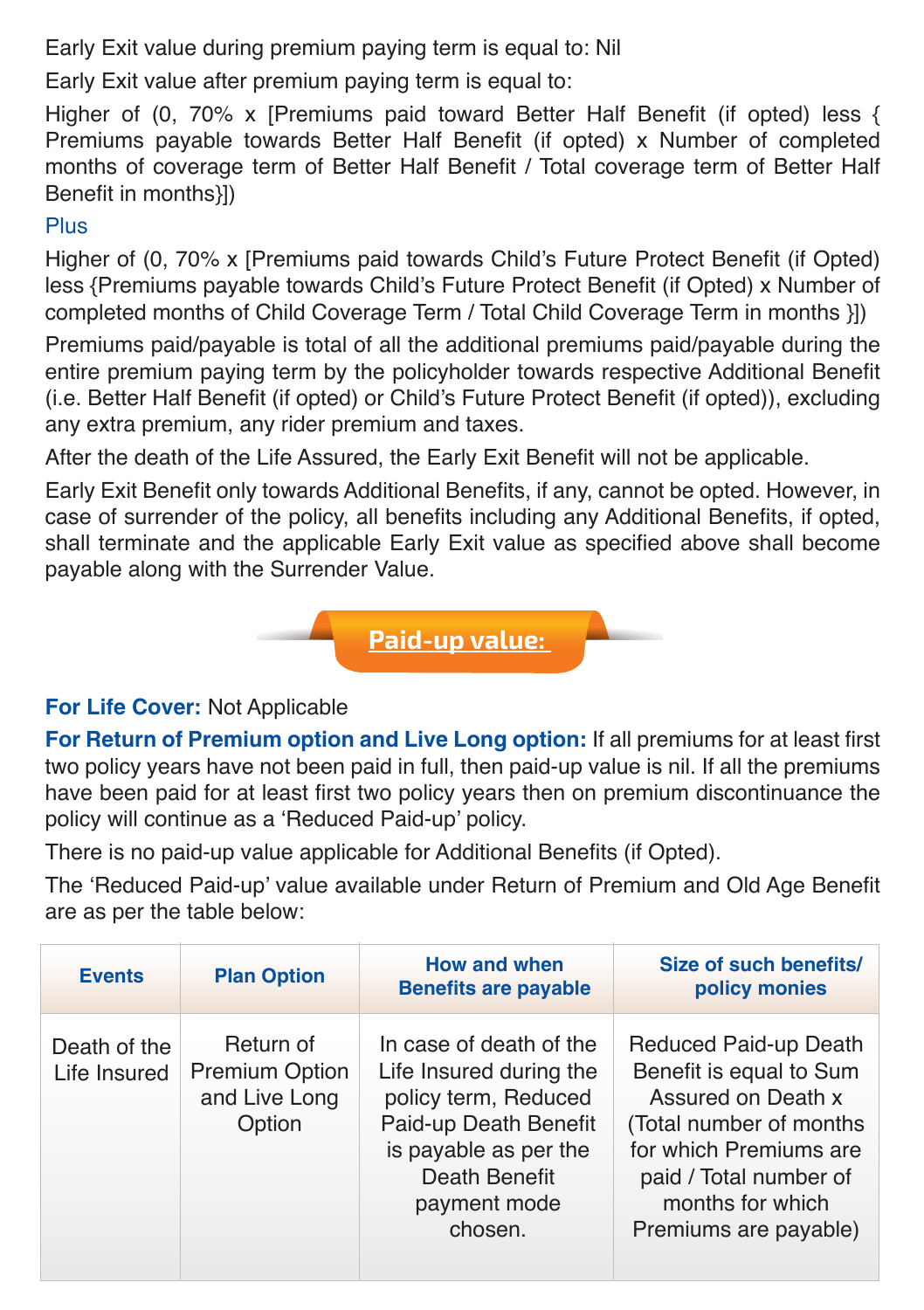Early Exit value during premium paying term is equal to: Nil

Early Exit value after premium paving term is equal to:

Higher of (0, 70% x [Premiums paid toward Better Half Benefit (if opted) less { Premiums payable towards Better Half Benefit (if opted) x Number of completed months of coverage term of Better Half Benefit / Total coverage term of Better Half Benefit in months}])

#### Plus

Higher of (0, 70% x [Premiums paid towards Child's Future Protect Benefit (if Opted) less {Premiums payable towards Child's Future Protect Benefit (if Opted) x Number of completed months of Child Coverage Term / Total Child Coverage Term in months }])

Premiums paid/payable is total of all the additional premiums paid/payable during the entire premium paying term by the policyholder towards respective Additional Benefit (i.e. Better Half Benefit (if opted) or Child's Future Protect Benefit (if opted)), excluding any extra premium, any rider premium and taxes.

After the death of the Life Assured, the Early Exit Benefit will not be applicable.

Early Exit Benefit only towards Additional Benefits, if any, cannot be opted. However, in case of surrender of the policy, all benefits including any Additional Benefits, if opted, shall terminate and the applicable Early Exit value as specified above shall become payable along with the Surrender Value.



#### **For Life Cover:** Not Applicable

**For Return of Premium option and Live Long option:** If all premiums for at least first two policy years have not been paid in full, then paid-up value is nil. If all the premiums have been paid for at least first two policy years then on premium discontinuance the policy will continue as a 'Reduced Paid-up' policy.

There is no paid-up value applicable for Additional Benefits (if Opted).

The 'Reduced Paid-up' value available under Return of Premium and Old Age Benefit are as per the table below:

| <b>Events</b>                | <b>Plan Option</b>                                            | <b>How and when</b><br><b>Benefits are payable</b>                                                                                                                       | Size of such benefits/<br>policy monies                                                                                                                                                            |
|------------------------------|---------------------------------------------------------------|--------------------------------------------------------------------------------------------------------------------------------------------------------------------------|----------------------------------------------------------------------------------------------------------------------------------------------------------------------------------------------------|
| Death of the<br>Life Insured | Return of<br><b>Premium Option</b><br>and Live Long<br>Option | In case of death of the<br>Life Insured during the<br>policy term, Reduced<br>Paid-up Death Benefit<br>is payable as per the<br>Death Benefit<br>payment mode<br>chosen. | Reduced Paid-up Death<br>Benefit is equal to Sum<br>Assured on Death x<br>(Total number of months<br>for which Premiums are<br>paid / Total number of<br>months for which<br>Premiums are payable) |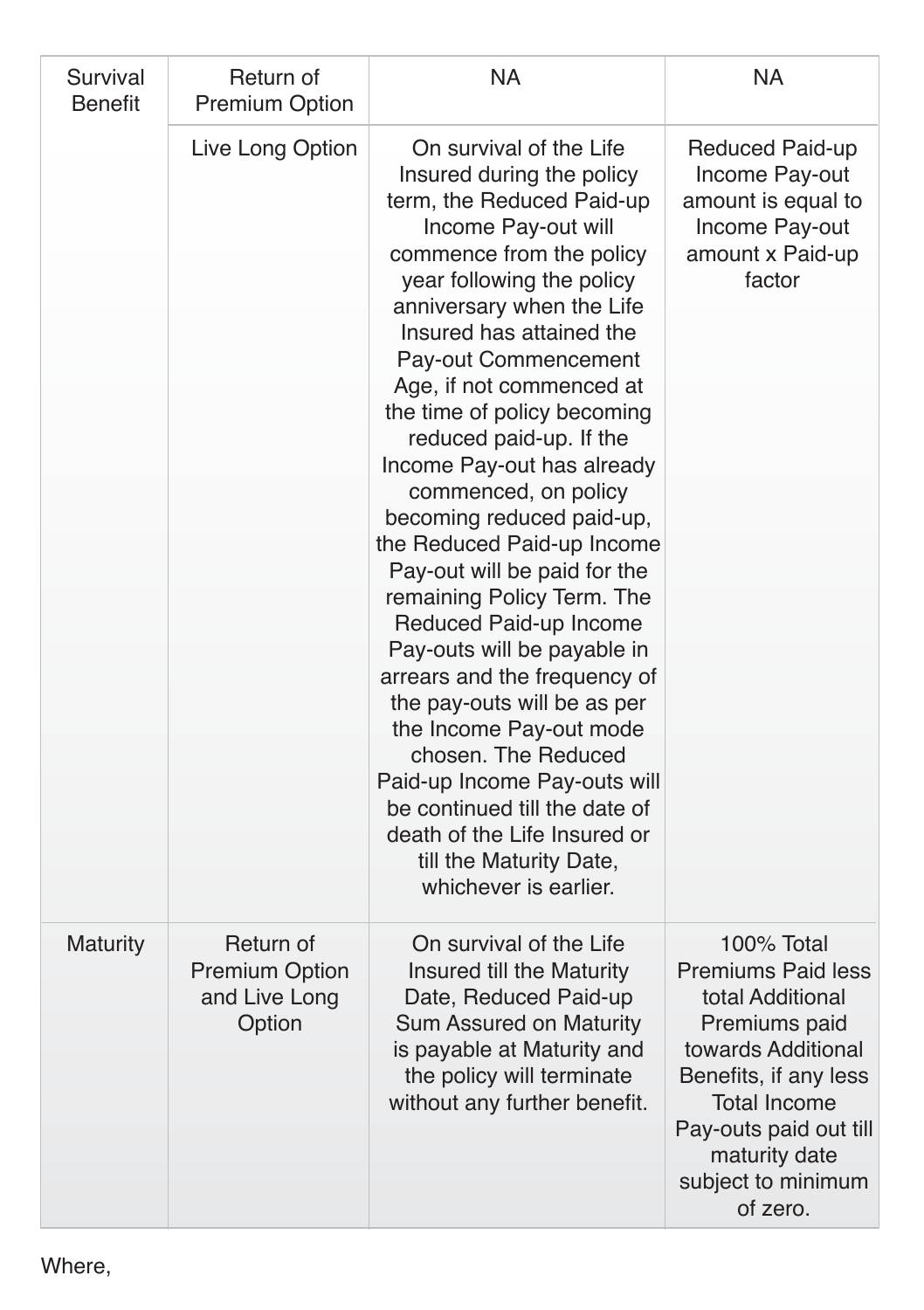| Survival<br><b>Benefit</b> | Return of<br><b>Premium Option</b>                            | NA                                                                                                                                                                                                                                                                                                                                                                                                                                                                                                                                                                                                                                                                                                                                                                                                                                                     | <b>NA</b>                                                                                                                                                                                                                       |
|----------------------------|---------------------------------------------------------------|--------------------------------------------------------------------------------------------------------------------------------------------------------------------------------------------------------------------------------------------------------------------------------------------------------------------------------------------------------------------------------------------------------------------------------------------------------------------------------------------------------------------------------------------------------------------------------------------------------------------------------------------------------------------------------------------------------------------------------------------------------------------------------------------------------------------------------------------------------|---------------------------------------------------------------------------------------------------------------------------------------------------------------------------------------------------------------------------------|
|                            | Live Long Option                                              | On survival of the Life<br>Insured during the policy<br>term, the Reduced Paid-up<br>Income Pay-out will<br>commence from the policy<br>year following the policy<br>anniversary when the Life<br>Insured has attained the<br>Pay-out Commencement<br>Age, if not commenced at<br>the time of policy becoming<br>reduced paid-up. If the<br>Income Pay-out has already<br>commenced, on policy<br>becoming reduced paid-up,<br>the Reduced Paid-up Income<br>Pay-out will be paid for the<br>remaining Policy Term. The<br>Reduced Paid-up Income<br>Pay-outs will be payable in<br>arrears and the frequency of<br>the pay-outs will be as per<br>the Income Pay-out mode<br>chosen. The Reduced<br>Paid-up Income Pay-outs will<br>be continued till the date of<br>death of the Life Insured or<br>till the Maturity Date,<br>whichever is earlier. | Reduced Paid-up<br>Income Pay-out<br>amount is equal to<br>Income Pay-out<br>amount x Paid-up<br>factor                                                                                                                         |
| Maturity                   | Return of<br><b>Premium Option</b><br>and Live Long<br>Option | On survival of the Life<br>Insured till the Maturity<br>Date, Reduced Paid-up<br>Sum Assured on Maturity<br>is payable at Maturity and<br>the policy will terminate<br>without any further benefit.                                                                                                                                                                                                                                                                                                                                                                                                                                                                                                                                                                                                                                                    | 100% Total<br><b>Premiums Paid less</b><br>total Additional<br>Premiums paid<br>towards Additional<br>Benefits, if any less<br><b>Total Income</b><br>Pay-outs paid out till<br>maturity date<br>subject to minimum<br>of zero. |

Where,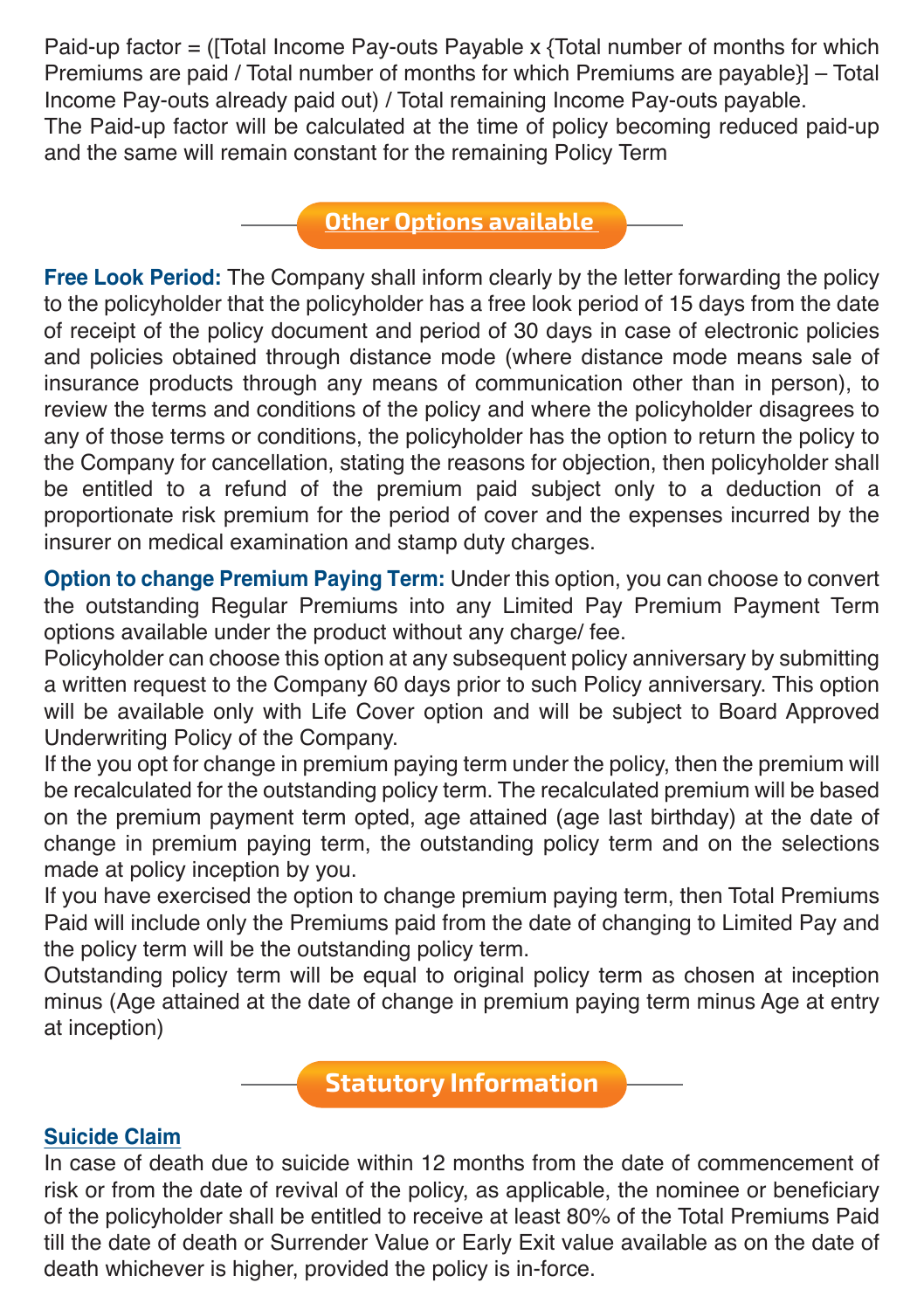Paid-up factor = ([Total Income Pay-outs Payable x {Total number of months for which Premiums are paid / Total number of months for which Premiums are payable}] – Total Income Pay-outs already paid out) / Total remaining Income Pay-outs payable. The Paid-up factor will be calculated at the time of policy becoming reduced paid-up and the same will remain constant for the remaining Policy Term

#### **Other Options available**

**Free Look Period:** The Company shall inform clearly by the letter forwarding the policy to the policyholder that the policyholder has a free look period of 15 days from the date of receipt of the policy document and period of 30 days in case of electronic policies and policies obtained through distance mode (where distance mode means sale of insurance products through any means of communication other than in person), to review the terms and conditions of the policy and where the policyholder disagrees to any of those terms or conditions, the policyholder has the option to return the policy to the Company for cancellation, stating the reasons for objection, then policyholder shall be entitled to a refund of the premium paid subject only to a deduction of a proportionate risk premium for the period of cover and the expenses incurred by the insurer on medical examination and stamp duty charges.

**Option to change Premium Paying Term:** Under this option, you can choose to convert the outstanding Regular Premiums into any Limited Pay Premium Payment Term options available under the product without any charge/ fee.

Policyholder can choose this option at any subsequent policy anniversary by submitting a written request to the Company 60 days prior to such Policy anniversary. This option will be available only with Life Cover option and will be subject to Board Approved Underwriting Policy of the Company.

If the you opt for change in premium paying term under the policy, then the premium will be recalculated for the outstanding policy term. The recalculated premium will be based on the premium payment term opted, age attained (age last birthday) at the date of change in premium paying term, the outstanding policy term and on the selections made at policy inception by you.

If you have exercised the option to change premium paying term, then Total Premiums Paid will include only the Premiums paid from the date of changing to Limited Pay and the policy term will be the outstanding policy term.

Outstanding policy term will be equal to original policy term as chosen at inception minus (Age attained at the date of change in premium paying term minus Age at entry at inception)

**Statutory Information**

#### **Suicide Claim**

In case of death due to suicide within 12 months from the date of commencement of risk or from the date of revival of the policy, as applicable, the nominee or beneficiary of the policyholder shall be entitled to receive at least 80% of the Total Premiums Paid till the date of death or Surrender Value or Early Exit value available as on the date of death whichever is higher, provided the policy is in-force.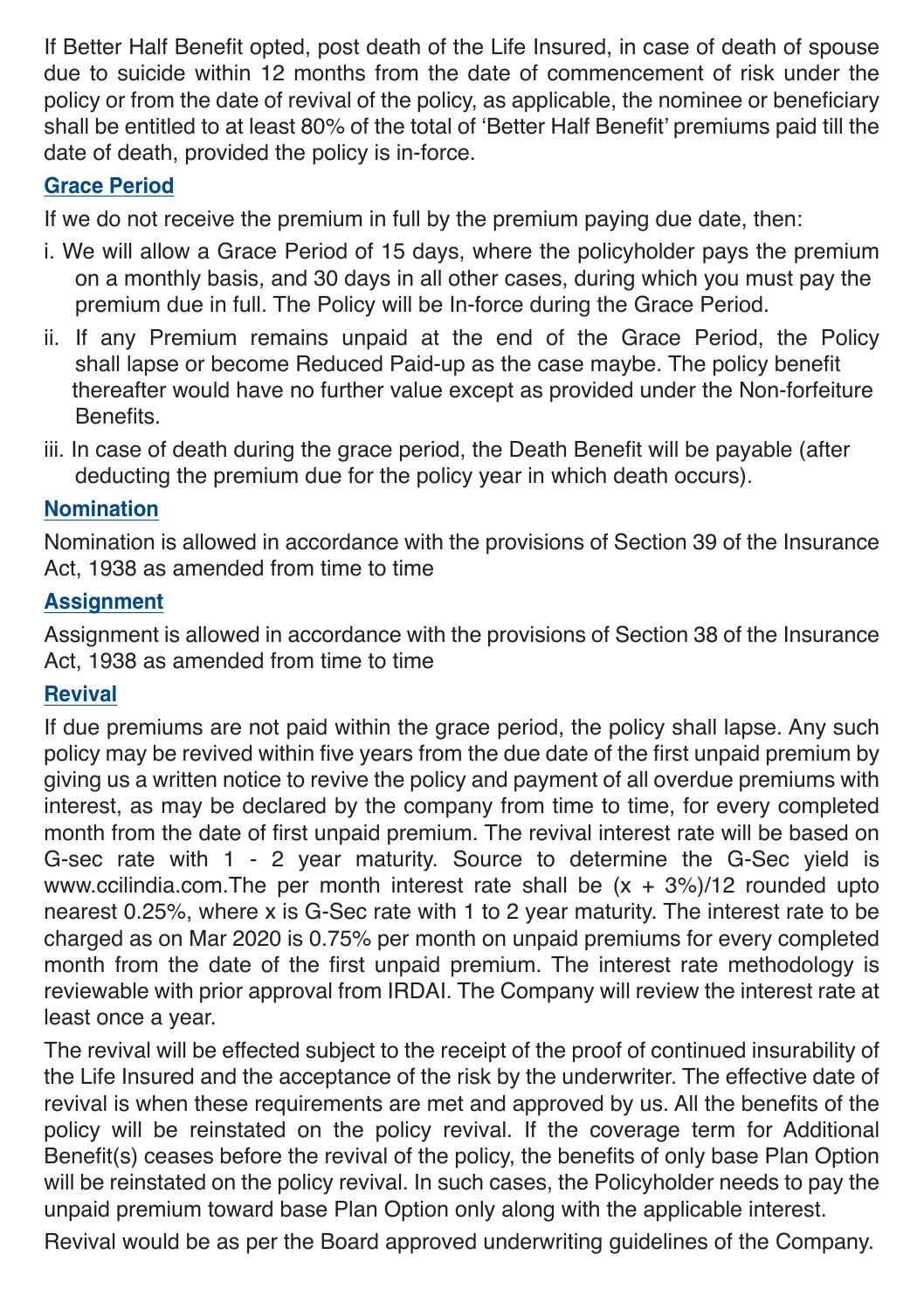If Better Half Benefit opted, post death of the Life Insured, in case of death of spouse due to suicide within 12 months from the date of commencement of risk under the policy or from the date of revival of the policy, as applicable, the nominee or beneficiary shall be entitled to at least 80% of the total of 'Better Half Benefit' premiums paid till the date of death, provided the policy is in-force.

#### **Grace Period**

If we do not receive the premium in full by the premium paying due date, then:

- i. We will allow a Grace Period of 15 days, where the policyholder pays the premium on a monthly basis, and 30 days in all other cases, during which you must pay the premium due in full. The Policy will be In-force during the Grace Period.
- ii. If any Premium remains unpaid at the end of the Grace Period, the Policy shall lapse or become Reduced Paid-up as the case maybe. The policy benefit thereafter would have no further value except as provided under the Non-forfeiture **Benefits**
- iii. In case of death during the grace period, the Death Benefit will be payable (after deducting the premium due for the policy year in which death occurs).

#### **Nomination**

Nomination is allowed in accordance with the provisions of Section 39 of the Insurance Act, 1938 as amended from time to time

#### **Assignment**

Assignment is allowed in accordance with the provisions of Section 38 of the Insurance Act, 1938 as amended from time to time

#### **Revival**

If due premiums are not paid within the grace period, the policy shall lapse. Any such policy may be revived within five years from the due date of the first unpaid premium by giving us a written notice to revive the policy and payment of all overdue premiums with interest, as may be declared by the company from time to time, for every completed month from the date of first unpaid premium. The revival interest rate will be based on G-sec rate with 1 - 2 year maturity. Source to determine the G-Sec yield is www.ccilindia.com.The per month interest rate shall be  $(x + 3\%)/12$  rounded upto nearest 0.25%, where x is G-Sec rate with 1 to 2 year maturity. The interest rate to be charged as on Mar 2020 is 0.75% per month on unpaid premiums for every completed month from the date of the first unpaid premium. The interest rate methodology is reviewable with prior approval from IRDAI. The Company will review the interest rate at least once a year.

The revival will be effected subject to the receipt of the proof of continued insurability of the Life Insured and the acceptance of the risk by the underwriter. The effective date of revival is when these requirements are met and approved by us. All the benefits of the policy will be reinstated on the policy revival. If the coverage term for Additional Benefit(s) ceases before the revival of the policy, the benefits of only base Plan Option will be reinstated on the policy revival. In such cases, the Policyholder needs to pay the unpaid premium toward base Plan Option only along with the applicable interest.

Revival would be as per the Board approved underwriting guidelines of the Company.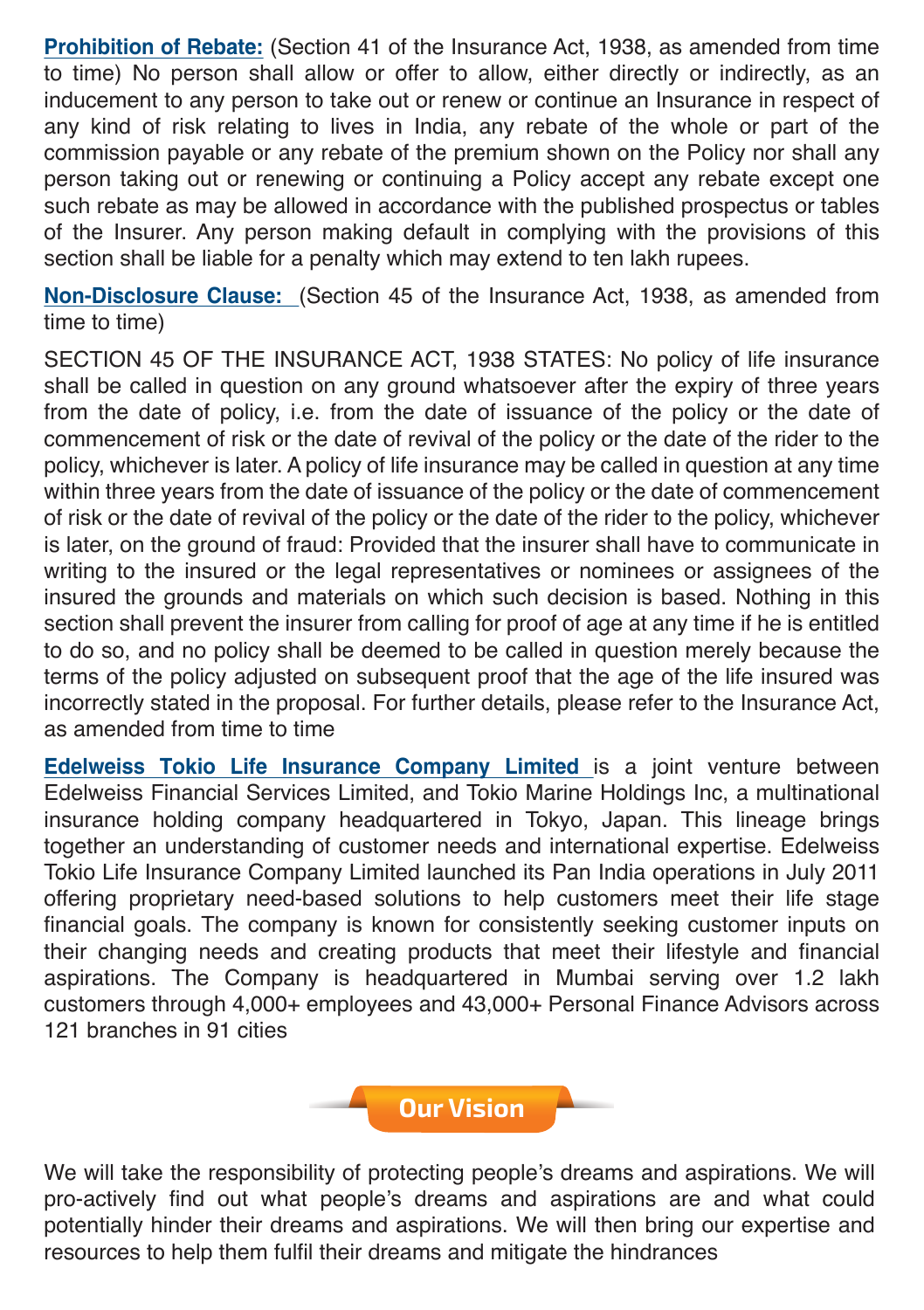**Prohibition of Rebate:** (Section 41 of the Insurance Act, 1938, as amended from time to time) No person shall allow or offer to allow, either directly or indirectly, as an inducement to any person to take out or renew or continue an Insurance in respect of any kind of risk relating to lives in India, any rebate of the whole or part of the commission payable or any rebate of the premium shown on the Policy nor shall any person taking out or renewing or continuing a Policy accept any rebate except one such rebate as may be allowed in accordance with the published prospectus or tables of the Insurer. Any person making default in complying with the provisions of this section shall be liable for a penalty which may extend to ten lakh rupees.

**Non-Disclosure Clause:** (Section 45 of the Insurance Act, 1938, as amended from time to time)

SECTION 45 OF THE INSURANCE ACT, 1938 STATES: No policy of life insurance shall be called in question on any ground whatsoever after the expiry of three years from the date of policy, i.e. from the date of issuance of the policy or the date of commencement of risk or the date of revival of the policy or the date of the rider to the policy, whichever is later. A policy of life insurance may be called in question at any time within three years from the date of issuance of the policy or the date of commencement of risk or the date of revival of the policy or the date of the rider to the policy, whichever is later, on the ground of fraud: Provided that the insurer shall have to communicate in writing to the insured or the legal representatives or nominees or assignees of the insured the grounds and materials on which such decision is based. Nothing in this section shall prevent the insurer from calling for proof of age at any time if he is entitled to do so, and no policy shall be deemed to be called in question merely because the terms of the policy adjusted on subsequent proof that the age of the life insured was incorrectly stated in the proposal. For further details, please refer to the Insurance Act, as amended from time to time

**Edelweiss Tokio Life Insurance Company Limited** is a joint venture between Edelweiss Financial Services Limited, and Tokio Marine Holdings Inc, a multinational insurance holding company headquartered in Tokyo, Japan. This lineage brings together an understanding of customer needs and international expertise. Edelweiss Tokio Life Insurance Company Limited launched its Pan India operations in July 2011 offering proprietary need-based solutions to help customers meet their life stage financial goals. The company is known for consistently seeking customer inputs on their changing needs and creating products that meet their lifestyle and financial aspirations. The Company is headquartered in Mumbai serving over 1.2 lakh customers through 4,000+ employees and 43,000+ Personal Finance Advisors across 121 branches in 91 cities

**Our Vision**

We will take the responsibility of protecting people's dreams and aspirations. We will pro-actively find out what people's dreams and aspirations are and what could potentially hinder their dreams and aspirations. We will then bring our expertise and resources to help them fulfil their dreams and mitigate the hindrances